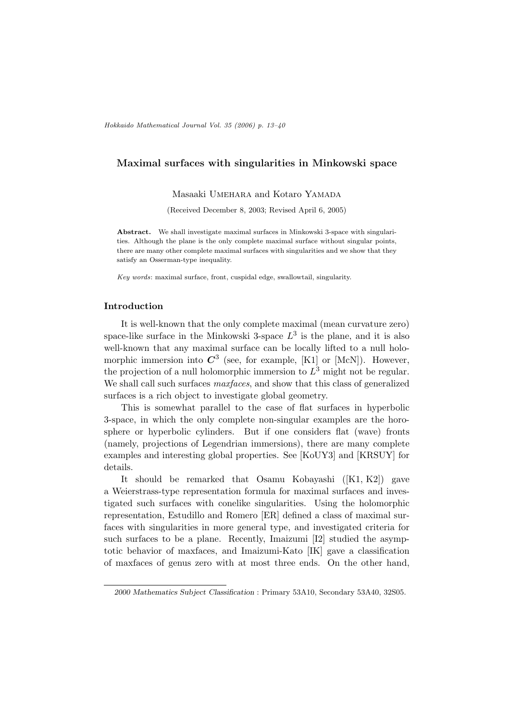# Maximal surfaces with singularities in Minkowski space

Masaaki UMEHARA and Kotaro YAMADA

(Received December 8, 2003; Revised April 6, 2005)

Abstract. We shall investigate maximal surfaces in Minkowski 3-space with singularities. Although the plane is the only complete maximal surface without singular points, there are many other complete maximal surfaces with singularities and we show that they satisfy an Osserman-type inequality.

Key words: maximal surface, front, cuspidal edge, swallowtail, singularity.

## Introduction

It is well-known that the only complete maximal (mean curvature zero) space-like surface in the Minkowski 3-space  $L^3$  is the plane, and it is also well-known that any maximal surface can be locally lifted to a null holomorphic immersion into  $C^3$  (see, for example, [K1] or [McN]). However, the projection of a null holomorphic immersion to  $L^3$  might not be regular. We shall call such surfaces *maxfaces*, and show that this class of generalized surfaces is a rich object to investigate global geometry.

This is somewhat parallel to the case of flat surfaces in hyperbolic 3-space, in which the only complete non-singular examples are the horosphere or hyperbolic cylinders. But if one considers flat (wave) fronts (namely, projections of Legendrian immersions), there are many complete examples and interesting global properties. See [KoUY3] and [KRSUY] for details.

It should be remarked that Osamu Kobayashi ([K1, K2]) gave a Weierstrass-type representation formula for maximal surfaces and investigated such surfaces with conelike singularities. Using the holomorphic representation, Estudillo and Romero [ER] defined a class of maximal surfaces with singularities in more general type, and investigated criteria for such surfaces to be a plane. Recently, Imaizumi [I2] studied the asymptotic behavior of maxfaces, and Imaizumi-Kato [IK] gave a classification of maxfaces of genus zero with at most three ends. On the other hand,

<sup>2000</sup> Mathematics Subject Classification : Primary 53A10, Secondary 53A40, 32S05.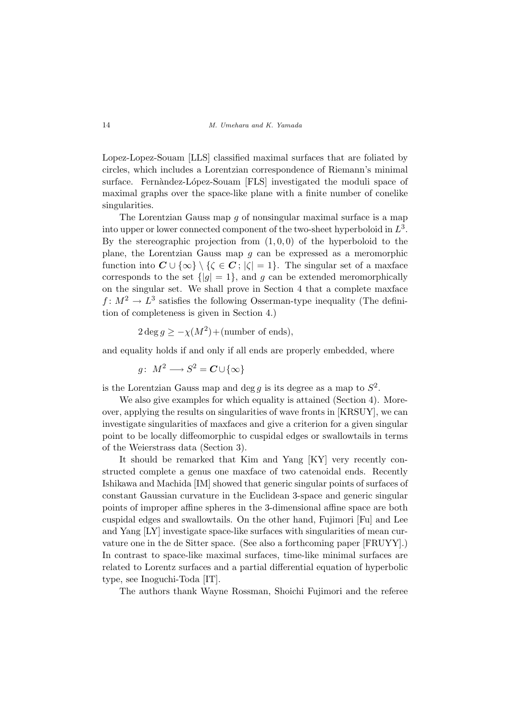Lopez-Lopez-Souam [LLS] classified maximal surfaces that are foliated by circles, which includes a Lorentzian correspondence of Riemann's minimal surface. Fernàndez-López-Souam [FLS] investigated the moduli space of maximal graphs over the space-like plane with a finite number of conelike singularities.

The Lorentzian Gauss map g of nonsingular maximal surface is a map into upper or lower connected component of the two-sheet hyperboloid in  $L^3$ . By the stereographic projection from  $(1, 0, 0)$  of the hyperboloid to the plane, the Lorentzian Gauss map  $q$  can be expressed as a meromorphic function into  $C \cup \{\infty\} \setminus {\mathcal{K}} \in C$ ;  $|\zeta| = 1$ . The singular set of a maxface corresponds to the set  $\{|g|=1\}$ , and g can be extended meromorphically on the singular set. We shall prove in Section 4 that a complete maxface  $f: M^2 \to L^3$  satisfies the following Osserman-type inequality (The definition of completeness is given in Section 4.)

$$
2 \deg g \ge -\chi(M^2) + \text{(number of ends)},
$$

and equality holds if and only if all ends are properly embedded, where

 $g\colon M^2\longrightarrow S^2={\boldsymbol C}\cup\{\infty\}$ 

is the Lorentzian Gauss map and deg g is its degree as a map to  $S^2$ .

We also give examples for which equality is attained (Section 4). Moreover, applying the results on singularities of wave fronts in [KRSUY], we can investigate singularities of maxfaces and give a criterion for a given singular point to be locally diffeomorphic to cuspidal edges or swallowtails in terms of the Weierstrass data (Section 3).

It should be remarked that Kim and Yang [KY] very recently constructed complete a genus one maxface of two catenoidal ends. Recently Ishikawa and Machida [IM] showed that generic singular points of surfaces of constant Gaussian curvature in the Euclidean 3-space and generic singular points of improper affine spheres in the 3-dimensional affine space are both cuspidal edges and swallowtails. On the other hand, Fujimori [Fu] and Lee and Yang [LY] investigate space-like surfaces with singularities of mean curvature one in the de Sitter space. (See also a forthcoming paper [FRUYY].) In contrast to space-like maximal surfaces, time-like minimal surfaces are related to Lorentz surfaces and a partial differential equation of hyperbolic type, see Inoguchi-Toda [IT].

The authors thank Wayne Rossman, Shoichi Fujimori and the referee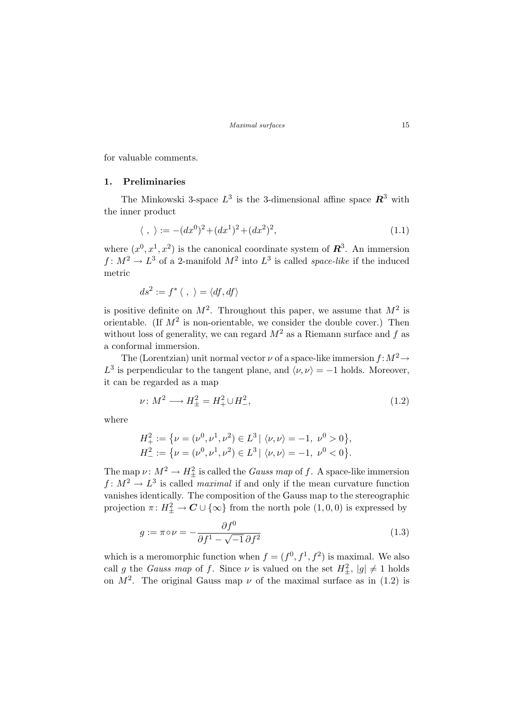for valuable comments.

# 1. Preliminaries

The Minkowski 3-space  $L^3$  is the 3-dimensional affine space  $\mathbb{R}^3$  with the inner product

$$
\langle , \rangle := -(dx^0)^2 + (dx^1)^2 + (dx^2)^2,\tag{1.1}
$$

where  $(x^0, x^1, x^2)$  is the canonical coordinate system of  $\mathbb{R}^3$ . An immersion  $f: M^2 \to L^3$  of a 2-manifold  $M^2$  into  $L^3$  is called *space-like* if the induced metric

$$
ds^2 := f^* \langle , \ \rangle = \langle df, df \rangle
$$

is positive definite on  $M^2$ . Throughout this paper, we assume that  $M^2$  is orientable. (If  $M^2$  is non-orientable, we consider the double cover.) Then without loss of generality, we can regard  $M^2$  as a Riemann surface and f as a conformal immersion.

The (Lorentzian) unit normal vector  $\nu$  of a space-like immersion  $f: M^2 \to$  $L^3$  is perpendicular to the tangent plane, and  $\langle \nu, \nu \rangle = -1$  holds. Moreover, it can be regarded as a map

$$
\nu \colon M^2 \longrightarrow H^2_{\pm} = H^2_+ \cup H^2_-, \tag{1.2}
$$

where

$$
H_+^2 := \{ \nu = (\nu^0, \nu^1, \nu^2) \in L^3 \mid \langle \nu, \nu \rangle = -1, \ \nu^0 > 0 \},
$$
  

$$
H_-^2 := \{ \nu = (\nu^0, \nu^1, \nu^2) \in L^3 \mid \langle \nu, \nu \rangle = -1, \ \nu^0 < 0 \}.
$$

The map  $\nu: M^2 \to H^2_{\pm}$  is called the *Gauss map* of f. A space-like immersion  $f: M^2 \to L^3$  is called *maximal* if and only if the mean curvature function vanishes identically. The composition of the Gauss map to the stereographic projection  $\pi: H^2_{\pm} \to \mathbb{C} \cup \{\infty\}$  from the north pole  $(1,0,0)$  is expressed by

$$
g := \pi \circ \nu = -\frac{\partial f^0}{\partial f^1 - \sqrt{-1} \,\partial f^2} \tag{1.3}
$$

which is a meromorphic function when  $f = (f^0, f^1, f^2)$  is maximal. We also call g the *Gauss map* of f. Since  $\nu$  is valued on the set  $H^2_{\pm}$ ,  $|g| \neq 1$  holds on  $M^2$ . The original Gauss map  $\nu$  of the maximal surface as in (1.2) is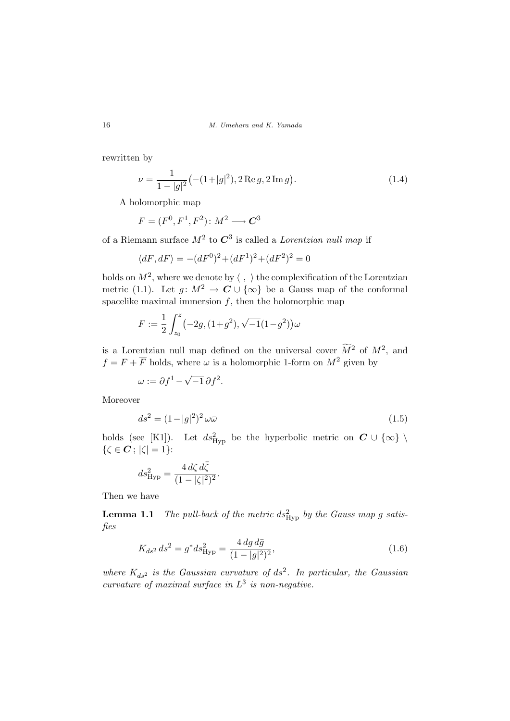16 M. Umehara and K. Yamada

rewritten by

$$
\nu = \frac{1}{1 - |g|^2} \left( -(1 + |g|^2), 2 \operatorname{Re} g, 2 \operatorname{Im} g \right). \tag{1.4}
$$

A holomorphic map

$$
F = (F^0, F^1, F^2) \colon M^2 \longrightarrow \mathbf{C}^3
$$

of a Riemann surface  $M^2$  to  $C^3$  is called a *Lorentzian null map* if

$$
\langle dF, dF \rangle = -(dF^0)^2 + (dF^1)^2 + (dF^2)^2 = 0
$$

holds on  $M^2$ , where we denote by  $\langle , \rangle$  the complexification of the Lorentzian metric (1.1). Let  $g: M^2 \to \mathbb{C} \cup \{\infty\}$  be a Gauss map of the conformal spacelike maximal immersion  $f$ , then the holomorphic map

$$
F := \frac{1}{2} \int_{z_0}^{z} \left( -2g, (1+g^2), \sqrt{-1}(1-g^2) \right) \omega
$$

is a Lorentzian null map defined on the universal cover  $\widetilde{M}^2$  of  $M^2$ , and  $f = F + \overline{F}$  holds, where  $\omega$  is a holomorphic 1-form on  $M^2$  given by

 $\omega := \partial f^1 - \sqrt{-1} \, \partial f^2.$ 

Moreover

$$
ds^2 = (1 - |g|^2)^2 \omega \bar{\omega}
$$
 (1.5)

holds (see [K1]). Let  $ds_{\text{Hyp}}^2$  be the hyperbolic metric on  $C \cup \{\infty\}$  $\{\zeta \in \mathbf{C}; |\zeta| = 1\}$ :

$$
ds_{\rm Hyp}^2 = \frac{4\,d\zeta\,d\bar{\zeta}}{(1-|\zeta|^2)^2}.
$$

Then we have

**Lemma 1.1** The pull-back of the metric  $ds_{\text{Hyp}}^2$  by the Gauss map g satisfies

$$
K_{ds^2} ds^2 = g^* ds^2_{\text{Hyp}} = \frac{4 \, dg \, d\bar{g}}{(1 - |g|^2)^2},\tag{1.6}
$$

where  $K_{ds^2}$  is the Gaussian curvature of  $ds^2$ . In particular, the Gaussian curvature of maximal surface in  $L^3$  is non-negative.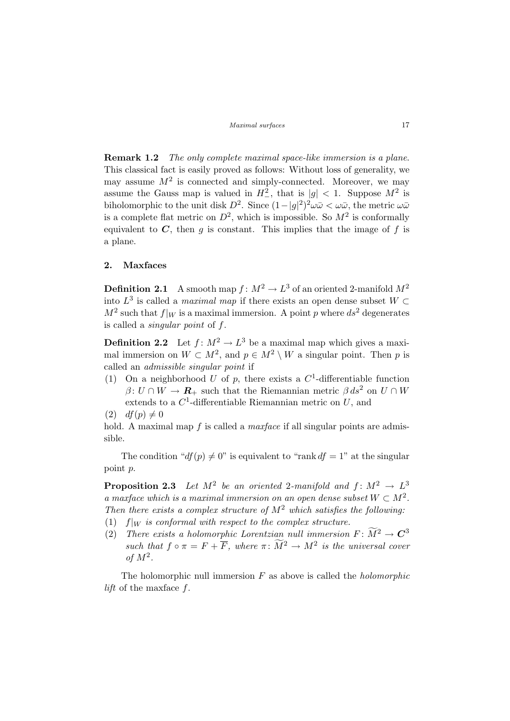Remark 1.2 The only complete maximal space-like immersion is a plane. This classical fact is easily proved as follows: Without loss of generality, we may assume  $M^2$  is connected and simply-connected. Moreover, we may assume the Gauss map is valued in  $H^2$ , that is  $|g| < 1$ . Suppose  $M^2$  is biholomorphic to the unit disk  $D^2$ . Since  $(1-|g|^2)^2 \omega \bar{\omega} < \omega \bar{\omega}$ , the metric  $\omega \bar{\omega}$ is a complete flat metric on  $D^2$ , which is impossible. So  $M^2$  is conformally equivalent to  $C$ , then g is constant. This implies that the image of f is a plane.

### 2. Maxfaces

**Definition 2.1** A smooth map  $f: M^2 \to L^3$  of an oriented 2-manifold  $M^2$ into  $L^3$  is called a *maximal map* if there exists an open dense subset  $W \subset$  $M^2$  such that  $f|_W$  is a maximal immersion. A point p where  $ds^2$  degenerates is called a singular point of f.

**Definition 2.2** Let  $f: M^2 \to L^3$  be a maximal map which gives a maximal immersion on  $W \subset M^2$ , and  $p \in M^2 \setminus W$  a singular point. Then p is called an admissible singular point if

(1) On a neighborhood U of p, there exists a  $C^1$ -differentiable function  $\beta: U \cap W \to \mathbf{R}_+$  such that the Riemannian metric  $\beta ds^2$  on  $U \cap W$ extends to a  $C^1$ -differentiable Riemannian metric on U, and

$$
(2) \t df(p) \neq 0
$$

hold. A maximal map f is called a *maxface* if all singular points are admissible.

The condition " $df(p) \neq 0$ " is equivalent to "rank  $df = 1$ " at the singular point p.

**Proposition 2.3** Let  $M^2$  be an oriented 2-manifold and  $f: M^2 \to L^3$ a maxface which is a maximal immersion on an open dense subset  $W \subset M^2$ . Then there exists a complex structure of  $M^2$  which satisfies the following: (1)  $f|_W$  is conformal with respect to the complex structure.

(2) There exists a holomorphic Lorentzian null immersion  $F: \widetilde{M}^2 \to \mathbb{C}^3$ such that  $f \circ \pi = F + \overline{F}$ , where  $\pi \colon \widetilde{M}^2 \to M^2$  is the universal cover of  $M^2$ .

The holomorphic null immersion  $F$  as above is called the *holomorphic lift* of the maxface  $f$ .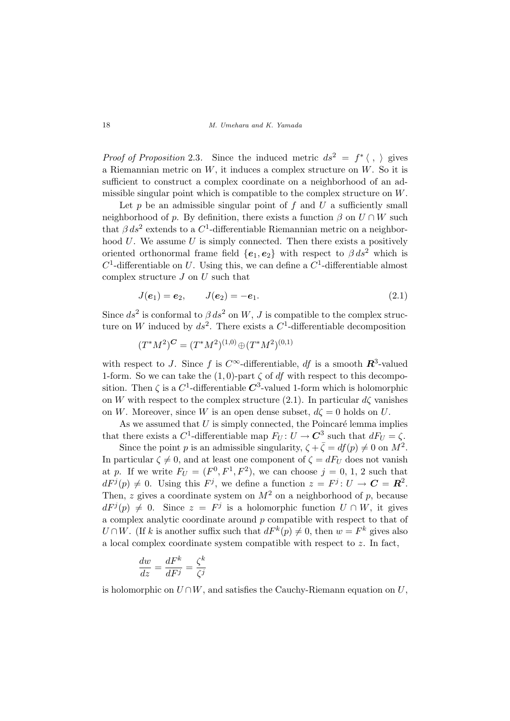*Proof of Proposition* 2.3. Since the induced metric  $ds^2 = f^* \langle , \rangle$  gives a Riemannian metric on  $W$ , it induces a complex structure on  $W$ . So it is sufficient to construct a complex coordinate on a neighborhood of an admissible singular point which is compatible to the complex structure on W.

Let  $p$  be an admissible singular point of  $f$  and  $U$  a sufficiently small neighborhood of p. By definition, there exists a function  $\beta$  on  $U \cap W$  such that  $\beta ds^2$  extends to a C<sup>1</sup>-differentiable Riemannian metric on a neighborhood  $U$ . We assume  $U$  is simply connected. Then there exists a positively oriented orthonormal frame field  ${e_1, e_2}$  with respect to  $\beta ds^2$  which is  $C^1$ -differentiable on U. Using this, we can define a  $C^1$ -differentiable almost complex structure  $J$  on  $U$  such that

$$
J(e_1) = e_2, \qquad J(e_2) = -e_1. \tag{2.1}
$$

Since  $ds^2$  is conformal to  $\beta ds^2$  on W, J is compatible to the complex structure on W induced by  $ds^2$ . There exists a  $C^1$ -differentiable decomposition

$$
(T^*M^2)^C = (T^*M^2)^{(1,0)} \oplus (T^*M^2)^{(0,1)}
$$

with respect to J. Since f is  $C^{\infty}$ -differentiable, df is a smooth  $\mathbb{R}^{3}$ -valued 1-form. So we can take the  $(1,0)$ -part  $\zeta$  of df with respect to this decomposition. Then  $\zeta$  is a  $C^1$ -differentiable  $\mathbb{C}^3$ -valued 1-form which is holomorphic on W with respect to the complex structure (2.1). In particular  $d\zeta$  vanishes on W. Moreover, since W is an open dense subset,  $d\zeta = 0$  holds on U.

As we assumed that  $U$  is simply connected, the Poincaré lemma implies that there exists a  $C^1$ -differentiable map  $F_U: U \to \mathbb{C}^3$  such that  $dF_U = \zeta$ .

Since the point p is an admissible singularity,  $\zeta + \bar{\zeta} = df(p) \neq 0$  on  $M^2$ . In particular  $\zeta \neq 0$ , and at least one component of  $\zeta = dF_U$  does not vanish at p. If we write  $F_U = (F^0, F^1, F^2)$ , we can choose  $j = 0, 1, 2$  such that  $dF^{j}(p) \neq 0$ . Using this  $F^{j}$ , we define a function  $z = F^{j}$ :  $U \rightarrow C = \mathbb{R}^{2}$ . Then, z gives a coordinate system on  $M^2$  on a neighborhood of p, because  $dF^{j}(p) \neq 0$ . Since  $z = F^{j}$  is a holomorphic function  $U \cap W$ , it gives a complex analytic coordinate around  $p$  compatible with respect to that of  $U \cap W$ . (If k is another suffix such that  $dF^k(p) \neq 0$ , then  $w = F^k$  gives also a local complex coordinate system compatible with respect to z. In fact,

$$
\frac{dw}{dz} = \frac{dF^k}{dF^j} = \frac{\zeta^k}{\zeta^j}
$$

is holomorphic on  $U \cap W$ , and satisfies the Cauchy-Riemann equation on U,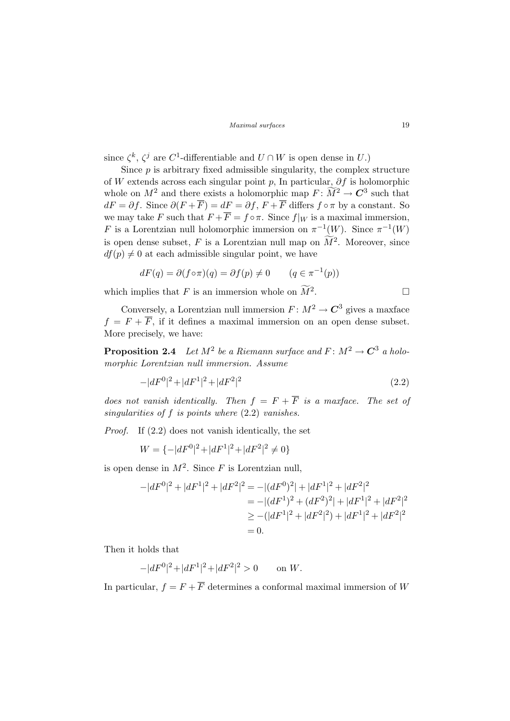since  $\zeta^k$ ,  $\zeta^j$  are C<sup>1</sup>-differentiable and  $U \cap W$  is open dense in U.)

Since  $p$  is arbitrary fixed admissible singularity, the complex structure of W extends across each singular point p, In particular,  $\partial f$  is holomorphic whole on  $M^2$  and there exists a holomorphic map  $F: \widetilde{M}^2 \to \mathbb{C}^3$  such that  $dF = \partial f$ . Since  $\partial (F + \overline{F}) = dF = \partial f$ ,  $F + \overline{F}$  differs  $f \circ \pi$  by a constant. So we may take F such that  $F + \overline{F} = f \circ \pi$ . Since  $f|_W$  is a maximal immersion, F is a Lorentzian null holomorphic immersion on  $\pi^{-1}(W)$ . Since  $\pi^{-1}(W)$ is open dense subset, F is a Lorentzian null map on  $\widetilde{M}^2$ . Moreover, since  $df(p) \neq 0$  at each admissible singular point, we have

$$
dF(q) = \partial (f \circ \pi)(q) = \partial f(p) \neq 0 \qquad (q \in \pi^{-1}(p))
$$

which implies that F is an immersion whole on  $\widetilde{M}^2$ . .  $\Box$ 

Conversely, a Lorentzian null immersion  $F: M^2 \to \mathbb{C}^3$  gives a maxface  $f = F + \overline{F}$ , if it defines a maximal immersion on an open dense subset. More precisely, we have:

**Proposition 2.4** Let  $M^2$  be a Riemann surface and  $F: M^2 \to \mathbb{C}^3$  a holomorphic Lorentzian null immersion. Assume

$$
-|dF^0|^2 + |dF^1|^2 + |dF^2|^2 \tag{2.2}
$$

does not vanish identically. Then  $f = F + \overline{F}$  is a maxface. The set of singularities of f is points where  $(2.2)$  vanishes.

Proof. If (2.2) does not vanish identically, the set

$$
W = \{-|dF^0|^2 + |dF^1|^2 + |dF^2|^2 \neq 0\}
$$

is open dense in  $M^2$ . Since F is Lorentzian null,

$$
-|dF^{0}|^{2} + |dF^{1}|^{2} + |dF^{2}|^{2} = -|(dF^{0})^{2}| + |dF^{1}|^{2} + |dF^{2}|^{2}
$$
  
= -|(dF^{1})^{2} + (dF^{2})^{2}| + |dF^{1}|^{2} + |dF^{2}|^{2}  
\ge -(|dF^{1}|^{2} + |dF^{2}|^{2}) + |dF^{1}|^{2} + |dF^{2}|^{2}  
= 0.

Then it holds that

$$
-|dF^0|^2 + |dF^1|^2 + |dF^2|^2 > 0 \quad \text{on } W.
$$

In particular,  $f = F + \overline{F}$  determines a conformal maximal immersion of W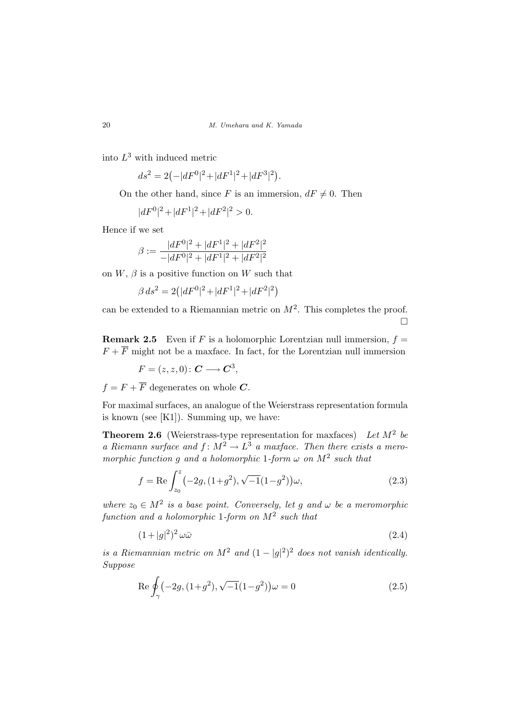into  $L^3$  with induced metric

$$
ds^{2} = 2(-|dF^{0}|^{2} + |dF^{1}|^{2} + |dF^{3}|^{2}).
$$

On the other hand, since F is an immersion,  $dF \neq 0$ . Then

$$
|dF^0|^2 + |dF^1|^2 + |dF^2|^2 > 0.
$$

Hence if we set

$$
\beta:=\frac{|dF^0|^2+|dF^1|^2+|dF^2|^2}{-|dF^0|^2+|dF^1|^2+|dF^2|^2}
$$

on  $W$ ,  $\beta$  is a positive function on W such that

$$
\beta ds^2 = 2(|dF^0|^2 + |dF^1|^2 + |dF^2|^2)
$$

can be extended to a Riemannian metric on  $M^2$ . This completes the proof. ¤

**Remark 2.5** Even if F is a holomorphic Lorentzian null immersion,  $f =$  $F + \overline{F}$  might not be a maxface. In fact, for the Lorentzian null immersion

,

$$
F = (z, z, 0): \mathbf{C} \longrightarrow \mathbf{C}^3
$$

 $f = F + \overline{F}$  degenerates on whole C.

For maximal surfaces, an analogue of the Weierstrass representation formula is known (see [K1]). Summing up, we have:

**Theorem 2.6** (Weierstrass-type representation for maxfaces) Let  $M^2$  be a Riemann surface and  $f: M^2 \to L^3$  a maxface. Then there exists a meromorphic function g and a holomorphic 1-form  $\omega$  on  $M^2$  such that

$$
f = \text{Re}\int_{z_0}^{z} \left(-2g, (1+g^2), \sqrt{-1}(1-g^2)\right)\omega,
$$
\n(2.3)

where  $z_0 \in M^2$  is a base point. Conversely, let g and  $\omega$  be a meromorphic function and a holomorphic 1-form on  $M^2$  such that

$$
(1+|g|^2)^2 \omega \bar{\omega} \tag{2.4}
$$

is a Riemannian metric on  $M^2$  and  $(1-|g|^2)^2$  does not vanish identically. Suppose

$$
\operatorname{Re}\oint_{\gamma} \left(-2g, (1+g^2), \sqrt{-1}(1-g^2)\right)\omega = 0\tag{2.5}
$$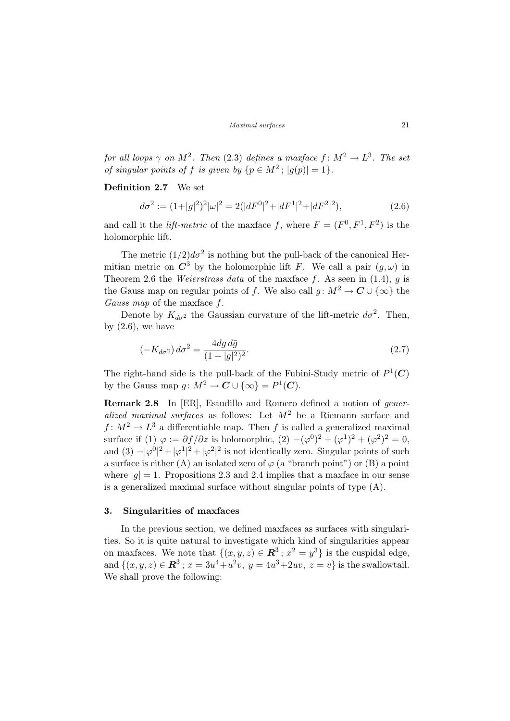for all loops  $\gamma$  on  $M^2$ . Then (2.3) defines a maxface  $f \colon M^2 \to L^3$ . The set of singular points of f is given by  $\{p \in M^2 : |g(p)| = 1\}.$ 

## Definition 2.7 We set

$$
d\sigma^2 := (1+|g|^2)^2|\omega|^2 = 2(|dF^0|^2+|dF^1|^2+|dF^2|^2),\tag{2.6}
$$

and call it the *lift-metric* of the maxface f, where  $F = (F^0, F^1, F^2)$  is the holomorphic lift.

The metric  $(1/2)d\sigma^2$  is nothing but the pull-back of the canonical Hermitian metric on  $\mathbb{C}^3$  by the holomorphic lift F. We call a pair  $(q,\omega)$  in Theorem 2.6 the *Weierstrass data* of the maxface f. As seen in  $(1.4)$ , q is the Gauss map on regular points of f. We also call  $q: M^2 \to \mathbb{C} \cup \{\infty\}$  the Gauss map of the maxface f.

Denote by  $K_{d\sigma^2}$  the Gaussian curvature of the lift-metric  $d\sigma^2$ . Then, by  $(2.6)$ , we have

$$
(-K_{d\sigma^2}) d\sigma^2 = \frac{4dg d\bar{g}}{(1+|g|^2)^2}.
$$
\n(2.7)

The right-hand side is the pull-back of the Fubini-Study metric of  $P^1(\mathbf{C})$ by the Gauss map  $g: M^2 \to \mathbb{C} \cup {\infty} = P^1(\mathbb{C}).$ 

Remark 2.8 In [ER], Estudillo and Romero defined a notion of generalized maximal surfaces as follows: Let  $M^2$  be a Riemann surface and  $f: M^2 \to L^3$  a differentiable map. Then f is called a generalized maximal surface if (1)  $\varphi := \partial f / \partial z$  is holomorphic,  $(2) - (\varphi^0)^2 + (\varphi^1)^2 + (\varphi^2)^2 = 0$ , and  $(3) - |\varphi^0|^2 + |\varphi^1|^2 + |\varphi^2|^2$  is not identically zero. Singular points of such a surface is either (A) an isolated zero of  $\varphi$  (a "branch point") or (B) a point where  $|q|=1$ . Propositions 2.3 and 2.4 implies that a maxface in our sense is a generalized maximal surface without singular points of type (A).

### 3. Singularities of maxfaces

In the previous section, we defined maxfaces as surfaces with singularities. So it is quite natural to investigate which kind of singularities appear on maxfaces. We note that  $\{(x, y, z) \in \mathbb{R}^3 : x^2 = y^3\}$  is the cuspidal edge, and  $\{(x, y, z) \in \mathbb{R}^3 : x = 3u^4 + u^2v, y = 4u^3 + 2uv, z = v\}$  is the swallowtail. We shall prove the following: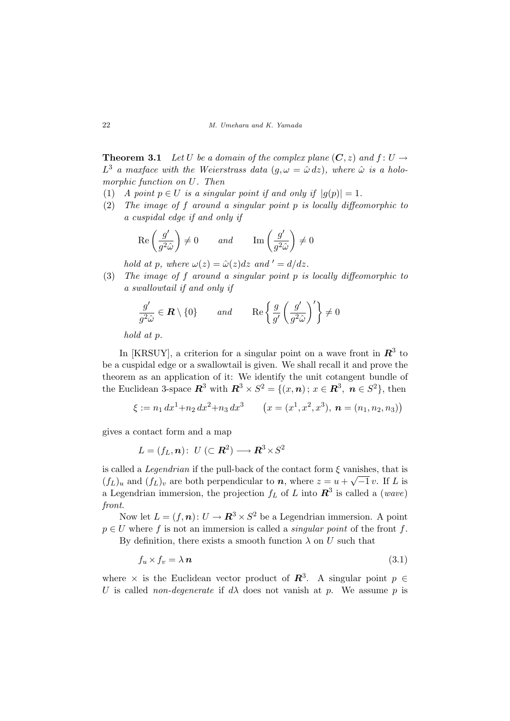**Theorem 3.1** Let U be a domain of the complex plane  $(C, z)$  and  $f: U \rightarrow$  $L^3$  a maxface with the Weierstrass data  $(g, \omega = \hat{\omega} \, dz)$ , where  $\hat{\omega}$  is a holomorphic function on U. Then

- (1) A point  $p \in U$  is a singular point if and only if  $|q(p)| = 1$ .
- (2) The image of f around a singular point p is locally diffeomorphic to a cuspidal edge if and only if

$$
\operatorname{Re}\left(\frac{g'}{g^2\hat{\omega}}\right) \neq 0 \qquad \text{and} \qquad \operatorname{Im}\left(\frac{g'}{g^2\hat{\omega}}\right) \neq 0
$$

hold at p, where  $\omega(z) = \hat{\omega}(z)dz$  and  $\ell' = d/dz$ .

(3) The image of f around a singular point p is locally diffeomorphic to a swallowtail if and only if

$$
\frac{g'}{g^2\hat{\omega}} \in \mathbf{R} \setminus \{0\} \quad \text{and} \quad \text{Re}\left\{\frac{g}{g'}\left(\frac{g'}{g^2\hat{\omega}}\right)'\right\} \neq 0
$$

hold at p.

In [KRSUY], a criterion for a singular point on a wave front in  $\mathbb{R}^3$  to be a cuspidal edge or a swallowtail is given. We shall recall it and prove the theorem as an application of it: We identify the unit cotangent bundle of the Euclidean 3-space  $\mathbb{R}^3$  with  $\mathbb{R}^3 \times S^2 = \{(x, n): x \in \mathbb{R}^3, n \in S^2\}$ , then

$$
\xi := n_1 dx^1 + n_2 dx^2 + n_3 dx^3
$$
  $(x = (x^1, x^2, x^3), \mathbf{n} = (n_1, n_2, n_3))$ 

gives a contact form and a map

$$
L = (f_L, \mathbf{n}): \ U \ (\subset \mathbf{R}^2) \longrightarrow \mathbf{R}^3 \times S^2
$$

is called a *Legendrian* if the pull-back of the contact form  $\xi$  vanishes, that is  $(f_L)_u$  and  $(f_L)_v$  are both perpendicular to n, where  $z = u + \sqrt{-1} v$ . If L is a Legendrian immersion, the projection  $f_L$  of L into  $\mathbb{R}^3$  is called a (wave) front.

Now let  $L = (f, n): U \to \mathbb{R}^3 \times S^2$  be a Legendrian immersion. A point  $p \in U$  where f is not an immersion is called a *singular point* of the front f. By definition, there exists a smooth function  $\lambda$  on U such that

$$
f_u \times f_v = \lambda \, \boldsymbol{n} \tag{3.1}
$$

where  $\times$  is the Euclidean vector product of  $\mathbb{R}^3$ . A singular point  $p \in$ U is called *non-degenerate* if  $d\lambda$  does not vanish at p. We assume p is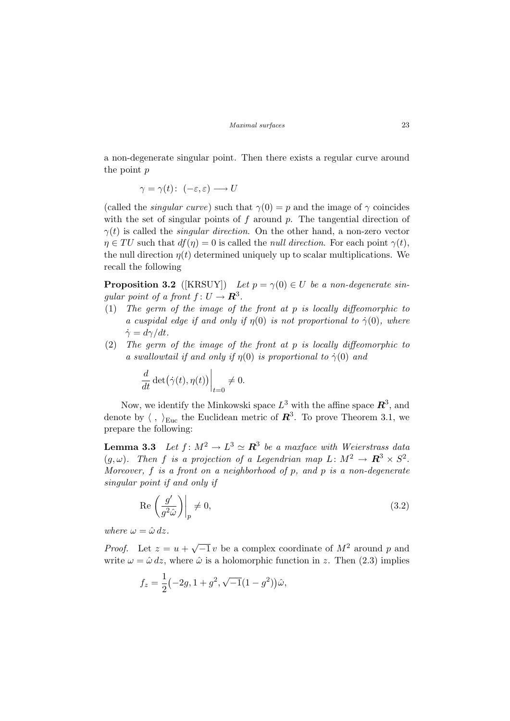a non-degenerate singular point. Then there exists a regular curve around the point p

$$
\gamma = \gamma(t) \colon (-\varepsilon, \varepsilon) \longrightarrow U
$$

(called the *singular curve*) such that  $\gamma(0) = p$  and the image of  $\gamma$  coincides with the set of singular points of  $f$  around  $p$ . The tangential direction of  $\gamma(t)$  is called the *singular direction*. On the other hand, a non-zero vector  $\eta \in TU$  such that  $df(\eta) = 0$  is called the *null direction*. For each point  $\gamma(t)$ , the null direction  $\eta(t)$  determined uniquely up to scalar multiplications. We recall the following

**Proposition 3.2** ([KRSUY]) Let  $p = \gamma(0) \in U$  be a non-degenerate singular point of a front  $f: U \to \mathbb{R}^3$ .

- (1) The germ of the image of the front at p is locally diffeomorphic to a cuspidal edge if and only if  $\eta(0)$  is not proportional to  $\dot{\gamma}(0)$ , where  $\dot{\gamma} = d\gamma/dt.$
- (2) The germ of the image of the front at p is locally diffeomorphic to a swallowtail if and only if  $\eta(0)$  is proportional to  $\dot{\gamma}(0)$  and

$$
\frac{d}{dt}\det(\dot{\gamma}(t),\eta(t))\bigg|_{t=0}\neq 0.
$$

Now, we identify the Minkowski space  $L^3$  with the affine space  $\mathbb{R}^3$ , and denote by  $\langle , \rangle_{\text{Euc}}$  the Euclidean metric of  $\mathbb{R}^3$ . To prove Theorem 3.1, we prepare the following:

**Lemma 3.3** Let  $f: M^2 \to L^3 \simeq \mathbb{R}^3$  be a maxface with Weierstrass data  $(g, \omega)$ . Then f is a projection of a Legendrian map  $L: M^2 \to \mathbb{R}^3 \times S^2$ . Moreover,  $f$  is a front on a neighborhood of  $p$ , and  $p$  is a non-degenerate singular point if and only if

$$
\operatorname{Re}\left(\frac{g'}{g^2\hat{\omega}}\right)\bigg|_p \neq 0,\tag{3.2}
$$

where  $\omega = \hat{\omega} dz$ .

*Proof.* Let  $z = u +$  $\sqrt{-1}v$  be a complex coordinate of  $M^2$  around p and write  $\omega = \hat{\omega} dz$ , where  $\hat{\omega}$  is a holomorphic function in z. Then (2.3) implies

$$
f_z = \frac{1}{2}(-2g, 1+g^2, \sqrt{-1}(1-g^2))\hat{\omega},
$$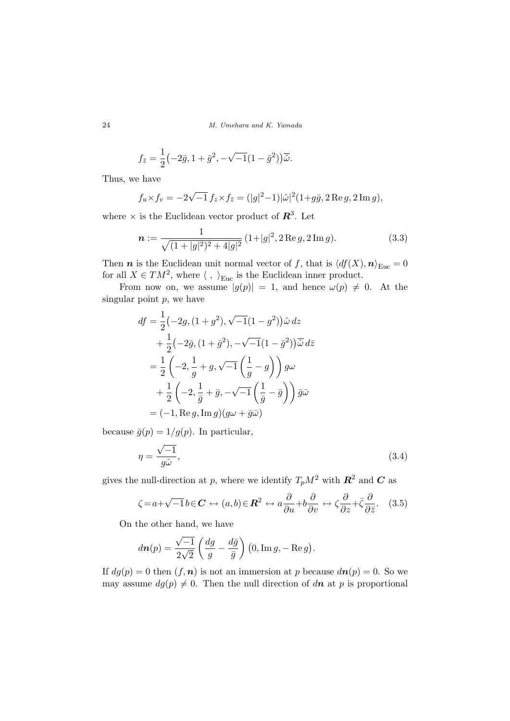24 M. Umehara and K. Yamada

$$
f_{\bar{z}} = \frac{1}{2} \left(-2\bar{g}, 1 + \bar{g}^2, -\sqrt{-1}(1 - \bar{g}^2)\right) \overline{\hat{\omega}}.
$$

Thus, we have

$$
f_u \times f_v = -2\sqrt{-1} f_z \times f_{\bar{z}} = (|g|^2 - 1)|\hat{\omega}|^2 (1 + g\bar{g}, 2 \operatorname{Re} g, 2 \operatorname{Im} g),
$$

where  $\times$  is the Euclidean vector product of  $\mathbb{R}^3$ . Let

$$
\mathbf{n} := \frac{1}{\sqrt{(1+|g|^2)^2 + 4|g|^2}} (1+|g|^2, 2 \operatorname{Re} g, 2 \operatorname{Im} g). \tag{3.3}
$$

Then  $\boldsymbol{n}$  is the Euclidean unit normal vector of f, that is  $\langle df(X), \boldsymbol{n} \rangle_{\text{Euc}} = 0$ for all  $X \in TM^2$ , where  $\langle , \rangle_{\text{Euc}}$  is the Euclidean inner product.

From now on, we assume  $|g(p)| = 1$ , and hence  $\omega(p) \neq 0$ . At the singular point  $p$ , we have

$$
df = \frac{1}{2} \left( -2g, (1+g^2), \sqrt{-1}(1-g^2) \right) \hat{\omega} \, dz
$$
  
+ 
$$
\frac{1}{2} \left( -2\bar{g}, (1+\bar{g}^2), -\sqrt{-1}(1-\bar{g}^2) \right) \hat{\omega} \, d\bar{z}
$$
  
= 
$$
\frac{1}{2} \left( -2, \frac{1}{g} + g, \sqrt{-1} \left( \frac{1}{g} - g \right) \right) g\omega
$$
  
+ 
$$
\frac{1}{2} \left( -2, \frac{1}{\bar{g}} + \bar{g}, -\sqrt{-1} \left( \frac{1}{\bar{g}} - \bar{g} \right) \right) \bar{g}\bar{\omega}
$$
  
= 
$$
(-1, \text{Re } g, \text{Im } g) (g\omega + \bar{g}\bar{\omega})
$$

because  $\bar{g}(p) = 1/g(p)$ . In particular,

$$
\eta = \frac{\sqrt{-1}}{g\hat{\omega}},\tag{3.4}
$$

gives the null-direction at p, where we identify  $T_pM^2$  with  $\mathbb{R}^2$  and  $\mathbb{C}$  as

$$
\zeta = a + \sqrt{-1}b \in \mathbf{C} \leftrightarrow (a, b) \in \mathbf{R}^2 \leftrightarrow a\frac{\partial}{\partial u} + b\frac{\partial}{\partial v} \leftrightarrow \zeta \frac{\partial}{\partial z} + \bar{\zeta} \frac{\partial}{\partial \bar{z}}.
$$
 (3.5)

On the other hand, we have

$$
d\boldsymbol{n}(p) = \frac{\sqrt{-1}}{2\sqrt{2}} \left( \frac{dg}{g} - \frac{d\bar{g}}{\bar{g}} \right) (0, \operatorname{Im} g, -\operatorname{Re} g).
$$

If  $dg(p) = 0$  then  $(f, n)$  is not an immersion at p because  $d\mathbf{n}(p) = 0$ . So we may assume  $dg(p) \neq 0$ . Then the null direction of dn at p is proportional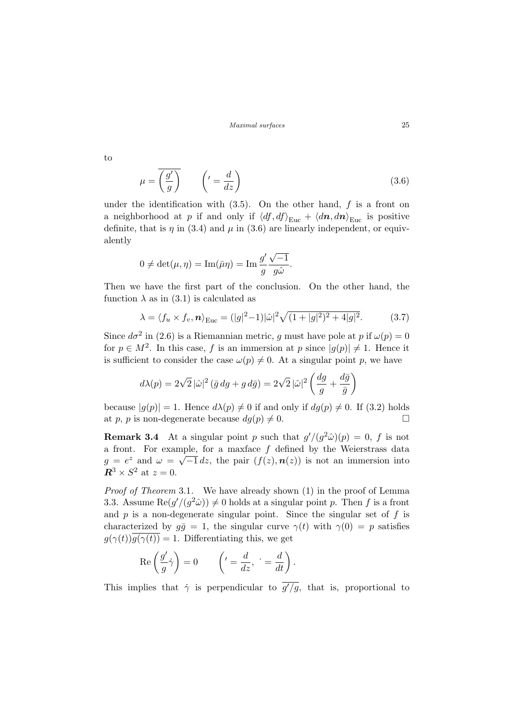$$
\mu = \overline{\left(\frac{g'}{g}\right)} \qquad \left( \prime = \frac{d}{dz} \right) \tag{3.6}
$$

under the identification with  $(3.5)$ . On the other hand, f is a front on a neighborhood at p if and only if  $\langle df, df \rangle_{\text{Euc}} + \langle d\boldsymbol{n}, d\boldsymbol{n} \rangle_{\text{Euc}}$  is positive definite, that is  $\eta$  in (3.4) and  $\mu$  in (3.6) are linearly independent, or equivalently

$$
0 \neq \det(\mu, \eta) = \operatorname{Im}(\bar{\mu}\eta) = \operatorname{Im} \frac{g'}{g} \frac{\sqrt{-1}}{g\hat{\omega}}.
$$

Then we have the first part of the conclusion. On the other hand, the function  $\lambda$  as in (3.1) is calculated as

$$
\lambda = \langle f_u \times f_v, \mathbf{n} \rangle_{\text{Euc}} = (|g|^2 - 1)|\hat{\omega}|^2 \sqrt{(1 + |g|^2)^2 + 4|g|^2}.
$$
 (3.7)

Since  $d\sigma^2$  in (2.6) is a Riemannian metric, g must have pole at p if  $\omega(p) = 0$ for  $p \in M^2$ . In this case, f is an immersion at p since  $|g(p)| \neq 1$ . Hence it is sufficient to consider the case  $\omega(p) \neq 0$ . At a singular point p, we have

$$
d\lambda(p) = 2\sqrt{2} |\hat{\omega}|^2 (\bar{g} dg + g d\bar{g}) = 2\sqrt{2} |\hat{\omega}|^2 \left( \frac{dg}{g} + \frac{d\bar{g}}{\bar{g}} \right)
$$

because  $|g(p)| = 1$ . Hence  $d\lambda(p) \neq 0$  if and only if  $dg(p) \neq 0$ . If (3.2) holds at p, p is non-degenerate because  $dg(p) \neq 0$ .

**Remark 3.4** At a singular point p such that  $g'/(g^2\hat{\omega})(p) = 0$ , f is not a front. For example, for a maxface f defined by the Weierstrass data  $g = e^z$  and  $\omega = \sqrt{-1} dz$ , the pair  $(f(z), n(z))$  is not an immersion into  $\mathbb{R}^3 \times S^2$  at  $z = 0$ .

Proof of Theorem 3.1. We have already shown (1) in the proof of Lemma 3.3. Assume  $\text{Re}(g'/(g^2\hat{\omega})) \neq 0$  holds at a singular point p. Then f is a front and  $p$  is a non-degenerate singular point. Since the singular set of  $f$  is characterized by  $g\bar{g} = 1$ , the singular curve  $\gamma(t)$  with  $\gamma(0) = p$  satisfies  $g(\gamma(t))\overline{g(\gamma(t))} = 1$ . Differentiating this, we get

$$
\operatorname{Re}\left(\frac{g'}{g}\dot{\gamma}\right) = 0 \qquad \left(\prime = \frac{d}{dz}, \ \cdot = \frac{d}{dt}\right).
$$

This implies that  $\dot{\gamma}$  is perpendicular to  $\overline{g'/g}$ , that is, proportional to

to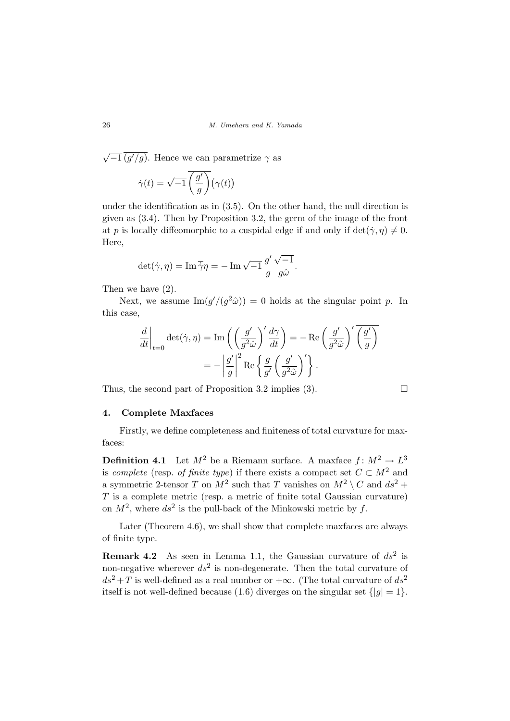√  $\overline{-1}$  (g'/g). Hence we can parametrize  $\gamma$  as  $\dot{\gamma}(t) = \sqrt{-1}$  $\overline{ }$  $g'$ g  $\overline{\lambda}$  $\gamma(t)$ ¢

under the identification as in (3.5). On the other hand, the null direction is given as (3.4). Then by Proposition 3.2, the germ of the image of the front at p is locally diffeomorphic to a cuspidal edge if and only if  $\det(\dot{\gamma}, \eta) \neq 0$ . Here,

$$
\det(\dot{\gamma}, \eta) = \operatorname{Im} \overline{\dot{\gamma}} \eta = -\operatorname{Im} \sqrt{-1} \frac{g'}{g} \frac{\sqrt{-1}}{g \hat{\omega}}.
$$

Then we have (2).

Next, we assume  $\text{Im}(g'/(g^2\hat{\omega})) = 0$  holds at the singular point p. In this case,

$$
\frac{d}{dt}\Big|_{t=0} \det(\dot{\gamma}, \eta) = \text{Im}\left(\left(\frac{g'}{g^2 \hat{\omega}}\right)' \frac{d\gamma}{dt}\right) = -\text{Re}\left(\frac{g'}{g^2 \hat{\omega}}\right)' \overline{\left(\frac{g'}{g}\right)}
$$

$$
= -\left|\frac{g'}{g}\right|^2 \text{Re}\left\{\frac{g}{g'}\left(\frac{g'}{g^2 \hat{\omega}}\right)'\right\}.
$$

Thus, the second part of Proposition 3.2 implies (3).  $\Box$ 

#### 4. Complete Maxfaces

Firstly, we define completeness and finiteness of total curvature for maxfaces:

**Definition 4.1** Let  $M^2$  be a Riemann surface. A maxface  $f: M^2 \to L^3$ is complete (resp. of finite type) if there exists a compact set  $C \subset M^2$  and a symmetric 2-tensor T on  $M^2$  such that T vanishes on  $M^2 \setminus C$  and  $ds^2$  +  $T$  is a complete metric (resp. a metric of finite total Gaussian curvature) on  $M^2$ , where  $ds^2$  is the pull-back of the Minkowski metric by f.

Later (Theorem 4.6), we shall show that complete maxfaces are always of finite type.

**Remark 4.2** As seen in Lemma 1.1, the Gaussian curvature of  $ds^2$  is non-negative wherever  $ds^2$  is non-degenerate. Then the total curvature of  $ds^2 + T$  is well-defined as a real number or  $+\infty$ . (The total curvature of  $ds^2$ itself is not well-defined because (1.6) diverges on the singular set  $\{|g|=1\}$ .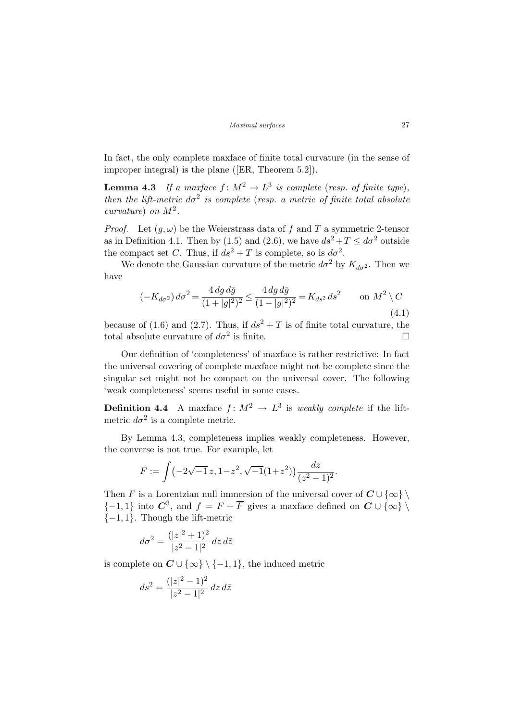In fact, the only complete maxface of finite total curvature (in the sense of improper integral) is the plane ([ER, Theorem 5.2]).

**Lemma 4.3** If a maxface  $f: M^2 \to L^3$  is complete (resp. of finite type), then the lift-metric  $d\sigma^2$  is complete (resp. a metric of finite total absolute curvature) on  $M^2$ .

*Proof.* Let  $(g, \omega)$  be the Weierstrass data of f and T a symmetric 2-tensor as in Definition 4.1. Then by (1.5) and (2.6), we have  $ds^2 + T \leq d\sigma^2$  outside the compact set C. Thus, if  $ds^2 + T$  is complete, so is  $d\sigma^2$ .

We denote the Gaussian curvature of the metric  $d\sigma^2$  by  $K_{d\sigma^2}$ . Then we have

$$
(-K_{d\sigma^2}) d\sigma^2 = \frac{4\,dg\,d\bar{g}}{(1+|g|^2)^2} \le \frac{4\,dg\,d\bar{g}}{(1-|g|^2)^2} = K_{ds^2}\,ds^2 \qquad \text{on } M^2 \setminus C
$$
\n(4.1)

because of (1.6) and (2.7). Thus, if  $ds^2 + T$  is of finite total curvature, the total absolute curvature of  $d\sigma^2$  is finite.

Our definition of 'completeness' of maxface is rather restrictive: In fact the universal covering of complete maxface might not be complete since the singular set might not be compact on the universal cover. The following 'weak completeness' seems useful in some cases.

**Definition 4.4** A maxface  $f: M^2 \to L^3$  is weakly complete if the liftmetric  $d\sigma^2$  is a complete metric.

By Lemma 4.3, completeness implies weakly completeness. However, the converse is not true. For example, let

$$
F := \int \left( -2\sqrt{-1} \, z, 1 - z^2, \sqrt{-1} (1 + z^2) \right) \frac{dz}{(z^2 - 1)^2}.
$$

Then F is a Lorentzian null immersion of the universal cover of  $C \cup \{\infty\} \setminus$  $\{-1,1\}$  into  $\mathbb{C}^3$ , and  $f = F + \overline{F}$  gives a maxface defined on  $\mathbb{C} \cup \{\infty\}$  $\{-1, 1\}$ . Though the lift-metric

$$
d\sigma^2 = \frac{(|z|^2 + 1)^2}{|z^2 - 1|^2} dz d\bar{z}
$$

is complete on  $C \cup \{\infty\} \setminus \{-1,1\}$ , the induced metric

$$
ds^2 = \frac{(|z|^2 - 1)^2}{|z^2 - 1|^2} \, dz \, d\bar{z}
$$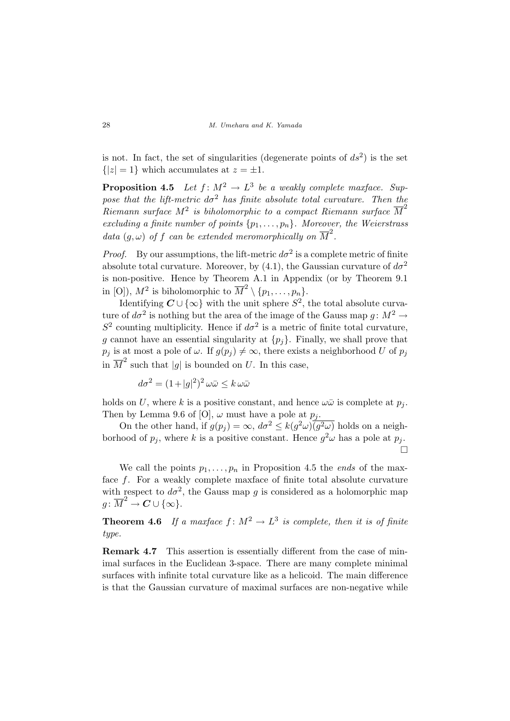is not. In fact, the set of singularities (degenerate points of  $ds^2$ ) is the set  ${|z| = 1}$  which accumulates at  $z = \pm 1$ .

**Proposition 4.5** Let  $f: M^2 \to L^3$  be a weakly complete maxface. Suppose that the lift-metric  $d\sigma^2$  has finite absolute total curvature. Then the  $Riemann\ surface\ M^2\ is\ biholomorphic\ to\ a\ compact\ Riemann\ surface\ \overline{M}^2$ excluding a finite number of points  $\{p_1, \ldots, p_n\}$ . Moreover, the Weierstrass data  $(g, \omega)$  of f can be extended meromorphically on  $\overline{M}^2$ .

*Proof.* By our assumptions, the lift-metric  $d\sigma^2$  is a complete metric of finite absolute total curvature. Moreover, by (4.1), the Gaussian curvature of  $d\sigma^2$ is non-positive. Hence by Theorem A.1 in Appendix (or by Theorem 9.1 in [O]),  $M^2$  is biholomorphic to  $\overline{M}^2 \setminus \{p_1, \ldots, p_n\}.$ 

Identifying  $C \cup \{\infty\}$  with the unit sphere  $S^2$ , the total absolute curvature of  $d\sigma^2$  is nothing but the area of the image of the Gauss map  $g \colon M^2 \to$  $S^2$  counting multiplicity. Hence if  $d\sigma^2$  is a metric of finite total curvature, g cannot have an essential singularity at  $\{p_i\}$ . Finally, we shall prove that  $p_j$  is at most a pole of  $\omega$ . If  $g(p_j) \neq \infty$ , there exists a neighborhood U of  $p_j$ in  $\overline{M}^2$  such that |g| is bounded on U. In this case,

$$
d\sigma^2 = (1+|g|^2)^2 \omega \bar{\omega} \le k \omega \bar{\omega}
$$

holds on U, where k is a positive constant, and hence  $\omega\bar{\omega}$  is complete at  $p_i$ . Then by Lemma 9.6 of [O],  $\omega$  must have a pole at  $p_i$ .

On the other hand, if  $g(p_j) = \infty$ ,  $d\sigma^2 \leq k(g^2\omega)\overline{(g^2\omega)}$  holds on a neighborhood of  $p_j$ , where k is a positive constant. Hence  $g^2\omega$  has a pole at  $p_j$ . ¤

We call the points  $p_1, \ldots, p_n$  in Proposition 4.5 the *ends* of the maxface f. For a weakly complete maxface of finite total absolute curvature with respect to  $d\sigma^2$ , the Gauss map g is considered as a holomorphic map  $g\colon \overline{M}^2 \stackrel{\cdot}{\rightarrow} \mathbf{C} \cup \{\infty\}.$ 

**Theorem 4.6** If a maxface  $f: M^2 \to L^3$  is complete, then it is of finite type.

Remark 4.7 This assertion is essentially different from the case of minimal surfaces in the Euclidean 3-space. There are many complete minimal surfaces with infinite total curvature like as a helicoid. The main difference is that the Gaussian curvature of maximal surfaces are non-negative while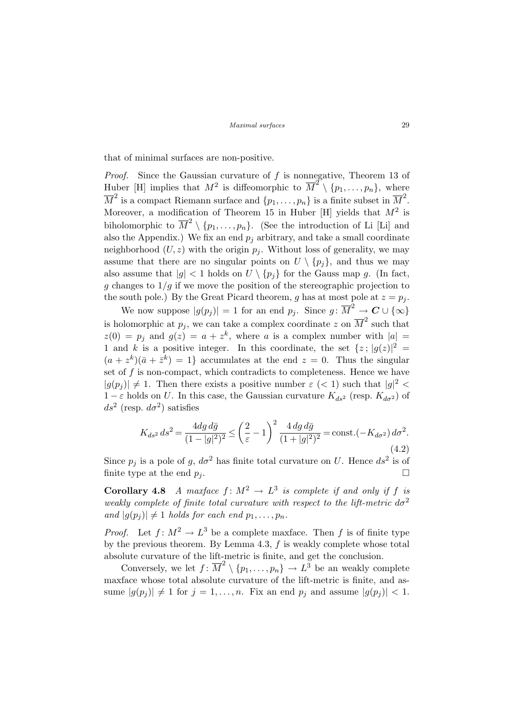that of minimal surfaces are non-positive.

*Proof.* Since the Gaussian curvature of  $f$  is nonnegative, Theorem 13 of Huber [H] implies that  $M^2$  is diffeomorphic to  $\overline{M}^2 \setminus \{p_1, \ldots, p_n\}$ , where  $\overline{M}^2$  is a compact Riemann surface and  $\{p_1, \ldots, p_n\}$  is a finite subset in  $\overline{M}^2$ . Moreover, a modification of Theorem 15 in Huber [H] yields that  $M^2$  is biholomorphic to  $\overline{M}^2 \setminus \{p_1, \ldots, p_n\}$ . (See the introduction of Li [Li] and also the Appendix.) We fix an end  $p_i$  arbitrary, and take a small coordinate neighborhood  $(U, z)$  with the origin  $p<sub>j</sub>$ . Without loss of generality, we may assume that there are no singular points on  $U \setminus \{p_i\}$ , and thus we may also assume that  $|g| < 1$  holds on  $U \setminus \{p_j\}$  for the Gauss map g. (In fact, g changes to  $1/g$  if we move the position of the stereographic projection to the south pole.) By the Great Picard theorem, g has at most pole at  $z = p_i$ .

We now suppose  $|g(p_j)| = 1$  for an end  $p_j$ . Since  $g: \overline{M}^2 \to \mathbf{C} \cup \{ \infty \}$ is holomorphic at  $p_j$ , we can take a complex coordinate z on  $\overline{M}^2$  such that  $z(0) = p_j$  and  $g(z) = a + z^k$ , where a is a complex number with  $|a| =$ 1 and k is a positive integer. In this coordinate, the set  $\{z\,;\,|g(z)|^2=$  $(a + z<sup>k</sup>)(\bar{a} + \bar{z}<sup>k</sup>) = 1$  accumulates at the end  $z = 0$ . Thus the singular set of  $f$  is non-compact, which contradicts to completeness. Hence we have  $|g(p_j)| \neq 1$ . Then there exists a positive number  $\varepsilon$  (< 1) such that  $|g|^2$  <  $1 - \varepsilon$  holds on U. In this case, the Gaussian curvature  $K_{ds^2}$  (resp.  $K_{d\sigma^2}$ ) of  $ds^2$  (resp.  $d\sigma^2$ ) satisfies

$$
K_{ds^2} ds^2 = \frac{4dg \, d\bar{g}}{(1-|g|^2)^2} \le \left(\frac{2}{\varepsilon} - 1\right)^2 \frac{4 \, dg \, d\bar{g}}{(1+|g|^2)^2} = \text{const.}(-K_{d\sigma^2}) \, d\sigma^2.
$$
\n<sup>(4.2)</sup>

Since  $p_j$  is a pole of g,  $d\sigma^2$  has finite total curvature on U. Hence  $ds^2$  is of finite type at the end  $p_i$ .

**Corollary 4.8** A maxface  $f: M^2 \to L^3$  is complete if and only if f is weakly complete of finite total curvature with respect to the lift-metric  $d\sigma^2$ and  $|g(p_i)| \neq 1$  holds for each end  $p_1, \ldots, p_n$ .

*Proof.* Let  $f: M^2 \to L^3$  be a complete maxface. Then f is of finite type by the previous theorem. By Lemma 4.3,  $f$  is weakly complete whose total absolute curvature of the lift-metric is finite, and get the conclusion.

Conversely, we let  $f: \overline{M}^2 \setminus \{p_1, \ldots, p_n\} \to L^{\overline{3}}$  be an weakly complete maxface whose total absolute curvature of the lift-metric is finite, and assume  $|g(p_i)| \neq 1$  for  $j = 1, ..., n$ . Fix an end  $p_i$  and assume  $|g(p_i)| < 1$ .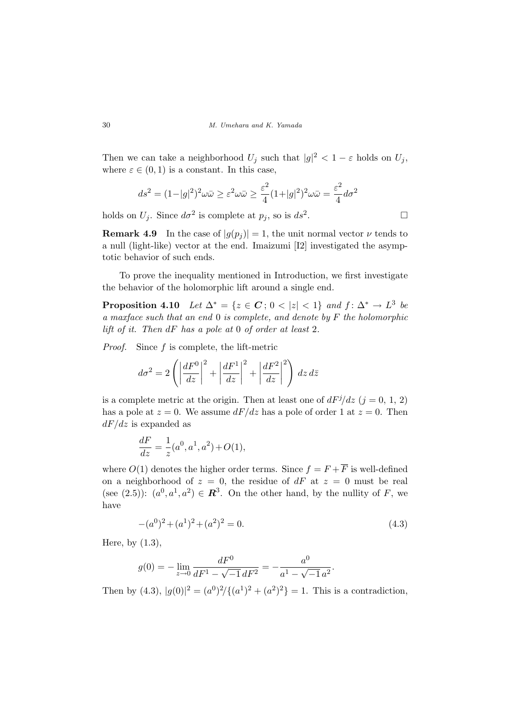Then we can take a neighborhood  $U_j$  such that  $|g|^2 < 1 - \varepsilon$  holds on  $U_j$ , where  $\varepsilon \in (0,1)$  is a constant. In this case,

$$
ds^{2} = (1 - |g|^{2})^{2} \omega \bar{\omega} \ge \varepsilon^{2} \omega \bar{\omega} \ge \frac{\varepsilon^{2}}{4} (1 + |g|^{2})^{2} \omega \bar{\omega} = \frac{\varepsilon^{2}}{4} d\sigma^{2}
$$

holds on  $U_j$ . Since  $d\sigma^2$  is complete at  $p_j$ , so is  $ds^2$ 

**Remark 4.9** In the case of  $|g(p_i)| = 1$ , the unit normal vector  $\nu$  tends to a null (light-like) vector at the end. Imaizumi [I2] investigated the asymptotic behavior of such ends.

To prove the inequality mentioned in Introduction, we first investigate the behavior of the holomorphic lift around a single end.

**Proposition 4.10** Let  $\Delta^* = \{z \in \mathbb{C} : 0 < |z| < 1\}$  and  $f: \Delta^* \to L^3$  be a maxface such that an end 0 is complete, and denote by F the holomorphic lift of it. Then  $dF$  has a pole at 0 of order at least 2.

Proof. Since f is complete, the lift-metric

$$
d\sigma^{2} = 2\left(\left|\frac{dF^{0}}{dz}\right|^{2} + \left|\frac{dF^{1}}{dz}\right|^{2} + \left|\frac{dF^{2}}{dz}\right|^{2}\right) dz d\bar{z}
$$

is a complete metric at the origin. Then at least one of  $dF^j/dz$   $(j = 0, 1, 2)$ has a pole at  $z = 0$ . We assume  $dF/dz$  has a pole of order 1 at  $z = 0$ . Then  $dF/dz$  is expanded as

$$
\frac{dF}{dz} = \frac{1}{z}(a^0, a^1, a^2) + O(1),
$$

where  $O(1)$  denotes the higher order terms. Since  $f = F + \overline{F}$  is well-defined on a neighborhood of  $z = 0$ , the residue of dF at  $z = 0$  must be real (see (2.5)):  $(a^0, a^1, a^2) \in \mathbb{R}^3$ . On the other hand, by the nullity of F, we have

$$
-(a^0)^2 + (a^1)^2 + (a^2)^2 = 0.
$$
\n(4.3)

Here, by (1.3),

$$
g(0) = -\lim_{z \to 0} \frac{dF^0}{dF^1 - \sqrt{-1} \, dF^2} = -\frac{a^0}{a^1 - \sqrt{-1} \, a^2}.
$$

Then by (4.3),  $|g(0)|^2 = (a^0)^2 / \{(a^1)^2 + (a^2)^2\} = 1$ . This is a contradiction,

.  $\Box$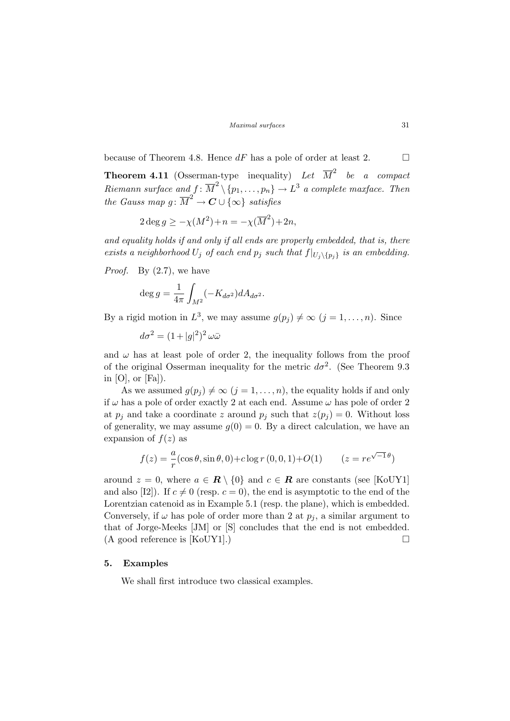because of Theorem 4.8. Hence  $dF$  has a pole of order at least 2.  $\Box$ 

**Theorem 4.11** (Osserman-type inequality) Let  $\overline{M}^2$  be a compact Riemann surface and  $f: \overline{M}^2 \setminus \{p_1, \ldots, p_n\} \to L^3$  a complete maxface. Then the Gauss map  $g: \overline{M}^2 \to \mathbf{C} \cup \{\infty\}$  satisfies

$$
2 \deg g \ge -\chi(M^2) + n = -\chi(\overline{M}^2) + 2n,
$$

and equality holds if and only if all ends are properly embedded, that is, there exists a neighborhood  $U_j$  of each end  $p_j$  such that  $f|_{U_j\setminus\{p_j\}}$  is an embedding.

*Proof.* By  $(2.7)$ , we have

$$
\deg g = \frac{1}{4\pi} \int_{M^2} (-K_{d\sigma^2}) dA_{d\sigma^2}.
$$

By a rigid motion in  $L^3$ , we may assume  $g(p_j) \neq \infty$   $(j = 1, ..., n)$ . Since

$$
d\sigma^2 = (1+|g|^2)^2 \,\omega\bar{\omega}
$$

and  $\omega$  has at least pole of order 2, the inequality follows from the proof of the original Osserman inequality for the metric  $d\sigma^2$ . (See Theorem 9.3 in  $[O]$ , or  $[Fa]$ ).

As we assumed  $g(p_i) \neq \infty$   $(j = 1, ..., n)$ , the equality holds if and only if  $\omega$  has a pole of order exactly 2 at each end. Assume  $\omega$  has pole of order 2 at  $p_i$  and take a coordinate z around  $p_i$  such that  $z(p_i) = 0$ . Without loss of generality, we may assume  $g(0) = 0$ . By a direct calculation, we have an expansion of  $f(z)$  as

$$
f(z) = -\frac{a}{r}(\cos \theta, \sin \theta, 0) + c \log r (0, 0, 1) + O(1) \qquad (z = re^{\sqrt{-1}\theta})
$$

around  $z = 0$ , where  $a \in \mathbb{R} \setminus \{0\}$  and  $c \in \mathbb{R}$  are constants (see [KoUY1] and also [I2]). If  $c \neq 0$  (resp.  $c = 0$ ), the end is asymptotic to the end of the Lorentzian catenoid as in Example 5.1 (resp. the plane), which is embedded. Conversely, if  $\omega$  has pole of order more than 2 at  $p_i$ , a similar argument to that of Jorge-Meeks [JM] or [S] concludes that the end is not embedded.  $(A \text{ good reference is } [KoUY1].)$ 

### 5. Examples

We shall first introduce two classical examples.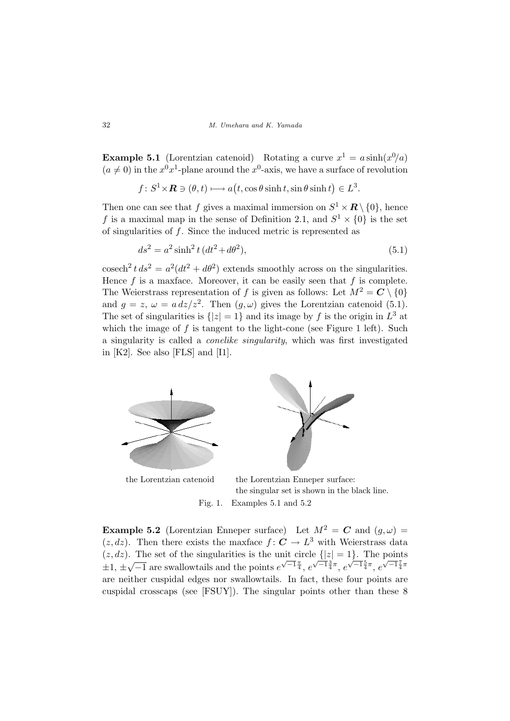**Example 5.1** (Lorentzian catenoid) Rotating a curve  $x^1 = a \sinh(x^0/a)$  $(a \neq 0)$  in the  $x^{0}x^{1}$ -plane around the  $x^{0}$ -axis, we have a surface of revolution

$$
f: S^1 \times \mathbf{R} \ni (\theta, t) \longmapsto a(t, \cos \theta \sinh t, \sin \theta \sinh t) \in L^3.
$$

Then one can see that f gives a maximal immersion on  $S^1 \times \mathbb{R} \setminus \{0\}$ , hence f is a maximal map in the sense of Definition 2.1, and  $S^1 \times \{0\}$  is the set of singularities of  $f$ . Since the induced metric is represented as

$$
ds^2 = a^2 \sinh^2 t (dt^2 + d\theta^2),
$$
\n(5.1)

cosech<sup>2</sup>  $t ds^2 = a^2(dt^2 + d\theta^2)$  extends smoothly across on the singularities. Hence  $f$  is a maxface. Moreover, it can be easily seen that  $f$  is complete. The Weierstrass representation of f is given as follows: Let  $M^2 = \mathbb{C} \setminus \{0\}$ and  $g = z$ ,  $\omega = a dz/z^2$ . Then  $(g, \omega)$  gives the Lorentzian catenoid (5.1). The set of singularities is  $\{|z|=1\}$  and its image by f is the origin in  $L^3$  at which the image of  $f$  is tangent to the light-cone (see Figure 1 left). Such a singularity is called a conelike singularity, which was first investigated in [K2]. See also [FLS] and [I1].



the Lorentzian catenoid the Lorentzian Enneper surface: the singular set is shown in the black line.

Fig. 1. Examples 5.1 and 5.2

**Example 5.2** (Lorentzian Enneper surface) Let  $M^2 = C$  and  $(q, \omega) =$  $(z, dz)$ . Then there exists the maxface  $f: \mathbb{C} \to L^3$  with Weierstrass data  $(z, dz)$ . The set of the singularities is the unit circle  $\{|z| = 1\}$ . The points  $\pm 1, \pm$  $^{\prime}$   $^{\prime}$  $\overline{-1}$  are swallowtails and the points  $e^{\sqrt{-1}\frac{\pi}{4}}$ ,  $e^{\sqrt{-1}\frac{3}{4}\pi}$ ,  $e^{\sqrt{-1}\frac{5}{4}\pi}$ ,  $e^{\sqrt{-1}\frac{7}{4}\pi}$ are neither cuspidal edges nor swallowtails. In fact, these four points are cuspidal crosscaps (see [FSUY]). The singular points other than these 8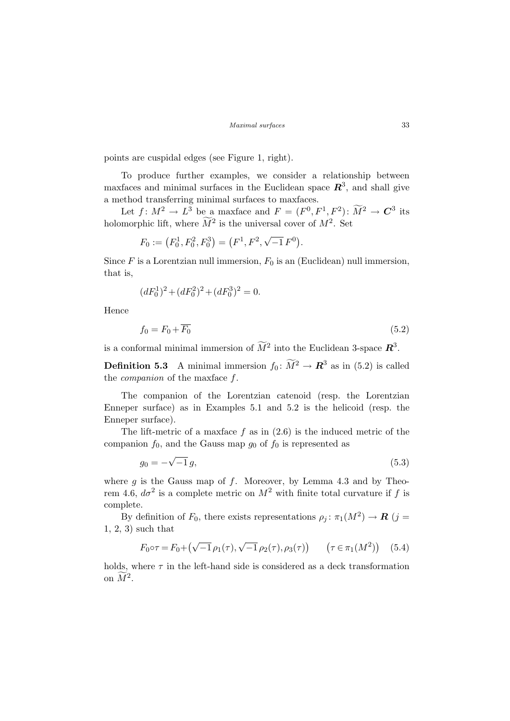points are cuspidal edges (see Figure 1, right).

To produce further examples, we consider a relationship between maxfaces and minimal surfaces in the Euclidean space  $\mathbb{R}^3$ , and shall give a method transferring minimal surfaces to maxfaces.

Let  $f: M^2 \to L^3$  be a maxface and  $F = (F^0, F^1, F^2): \widetilde{M}^2 \to \mathbb{C}^3$  its holomorphic lift, where  $\widetilde{M}^2$  is the universal cover of  $M^2$ . Set

$$
F_0 := (F_0^1, F_0^2, F_0^3) = (F^1, F^2, \sqrt{-1} F^0).
$$

Since F is a Lorentzian null immersion,  $F_0$  is an (Euclidean) null immersion, that is,

$$
(dF_0^1)^2 + (dF_0^2)^2 + (dF_0^3)^2 = 0.
$$

Hence

$$
f_0 = F_0 + \overline{F_0} \tag{5.2}
$$

is a conformal minimal immersion of  $\widetilde{M}^2$  into the Euclidean 3-space  $\mathbb{R}^3$ .

**Definition 5.3** A minimal immersion  $f_0: \widetilde{M}^2 \to \mathbb{R}^3$  as in (5.2) is called the companion of the maxface f.

The companion of the Lorentzian catenoid (resp. the Lorentzian Enneper surface) as in Examples 5.1 and 5.2 is the helicoid (resp. the Enneper surface).

The lift-metric of a maxface  $f$  as in  $(2.6)$  is the induced metric of the companion  $f_0$ , and the Gauss map  $g_0$  of  $f_0$  is represented as

$$
g_0 = -\sqrt{-1}g,\tag{5.3}
$$

where  $g$  is the Gauss map of  $f$ . Moreover, by Lemma 4.3 and by Theorem 4.6,  $d\sigma^2$  is a complete metric on  $M^2$  with finite total curvature if f is complete.

By definition of  $F_0$ , there exists representations  $\rho_j : \pi_1(M^2) \to \mathbf{R}$  (j = 1, 2, 3) such that

$$
F_0 \circ \tau = F_0 + (\sqrt{-1} \rho_1(\tau), \sqrt{-1} \rho_2(\tau), \rho_3(\tau)) \qquad (\tau \in \pi_1(M^2)) \quad (5.4)
$$

holds, where  $\tau$  in the left-hand side is considered as a deck transformation on  $\widetilde{M}^2$ .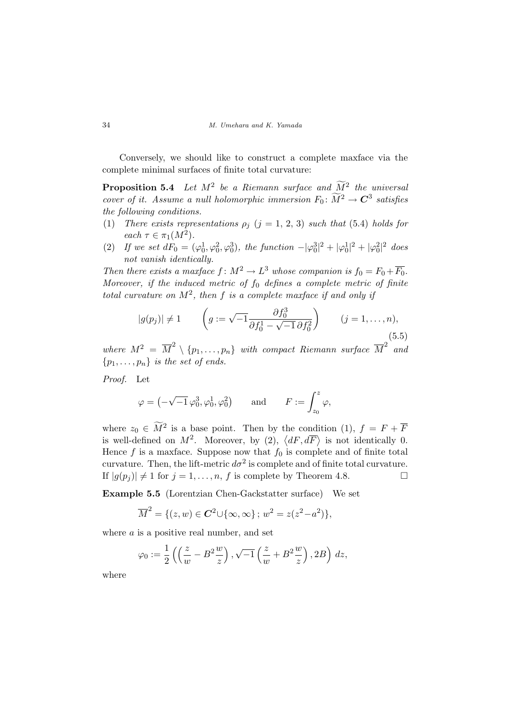Conversely, we should like to construct a complete maxface via the complete minimal surfaces of finite total curvature:

**Proposition 5.4** Let  $M^2$  be a Riemann surface and  $\widetilde{M}^2$  the universal cover of it. Assume a null holomorphic immersion  $F_0: \widetilde{M}^2 \to \mathbf{C}^3$  satisfies the following conditions.

- (1) There exists representations  $\rho_j$  (j = 1, 2, 3) such that (5.4) holds for each  $\tau \in \pi_1(M^2)$ .
- (2) If we set  $dF_0 = (\varphi_0^1, \varphi_0^2, \varphi_0^3)$ , the function  $|\varphi_0^3|^2 + |\varphi_0^1|^2 + |\varphi_0^2|^2$  does not vanish identically.

Then there exists a maxface  $f: M^2 \to L^3$  whose companion is  $f_0 = F_0 + \overline{F_0}$ . Moreover, if the induced metric of  $f_0$  defines a complete metric of finite total curvature on  $M^2$ , then f is a complete maxface if and only if

$$
|g(p_j)| \neq 1
$$
  $\left(g := \sqrt{-1} \frac{\partial f_0^3}{\partial f_0^1 - \sqrt{-1} \partial f_0^2}\right)$   $(j = 1, ..., n),$  (5.5)

where  $M^2 = \overline{M}^2 \setminus \{p_1, \ldots, p_n\}$  with compact Riemann surface  $\overline{M}^2$  and  ${p_1, \ldots, p_n}$  is the set of ends.

Proof. Let

$$
\varphi = \left( -\sqrt{-1} \, \varphi_0^3, \varphi_0^1, \varphi_0^2 \right) \qquad \text{and} \qquad F := \int_{z_0}^z \varphi,
$$

where  $z_0 \in \widetilde{M}^2$  is a base point. Then by the condition (1),  $f = F + \overline{F}$ where  $z_0 \in M$  is a base point. Then by the condition  $(1)$ ,  $j = r + r$ <br>is well-defined on  $M^2$ . Moreover, by (2),  $\langle dF, d\overline{F} \rangle$  is not identically 0. Hence f is a maxface. Suppose now that  $f_0$  is complete and of finite total curvature. Then, the lift-metric  $d\sigma^2$  is complete and of finite total curvature. If  $|g(p_i)| \neq 1$  for  $j = 1, ..., n$ , f is complete by Theorem 4.8.

Example 5.5 (Lorentzian Chen-Gackstatter surface) We set

$$
\overline{M}^2 = \{ (z, w) \in \mathbb{C}^2 \cup \{ \infty, \infty \} ; w^2 = z(z^2 - a^2) \},
$$

where  $a$  is a positive real number, and set

$$
\varphi_0 := \frac{1}{2} \left( \left( \frac{z}{w} - B^2 \frac{w}{z} \right), \sqrt{-1} \left( \frac{z}{w} + B^2 \frac{w}{z} \right), 2B \right) dz,
$$

where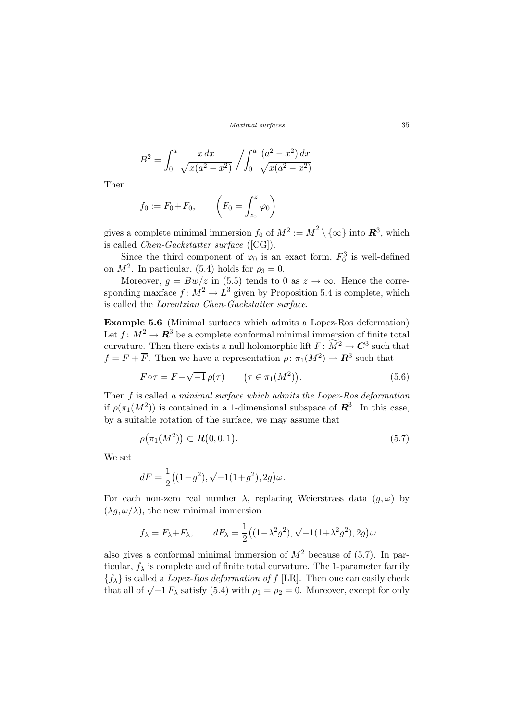$$
B^{2} = \int_{0}^{a} \frac{x \, dx}{\sqrt{x(a^{2} - x^{2})}} / \int_{0}^{a} \frac{(a^{2} - x^{2}) \, dx}{\sqrt{x(a^{2} - x^{2})}}.
$$

Then

$$
f_0 := F_0 + \overline{F_0}, \qquad \left(F_0 = \int_{z_0}^z \varphi_0\right)
$$

gives a complete minimal immersion  $f_0$  of  $M^2 := \overline{M}^2 \setminus \{\infty\}$  into  $\mathbb{R}^3$ , which is called Chen-Gackstatter surface ([CG]).

Since the third component of  $\varphi_0$  is an exact form,  $F_0^3$  is well-defined on  $M^2$ . In particular, (5.4) holds for  $\rho_3 = 0$ .

Moreover,  $g = Bw/z$  in (5.5) tends to 0 as  $z \to \infty$ . Hence the corresponding maxface  $f: M^2 \to L^3$  given by Proposition 5.4 is complete, which is called the Lorentzian Chen-Gackstatter surface.

Example 5.6 (Minimal surfaces which admits a Lopez-Ros deformation) Let  $f: M^2 \to \mathbb{R}^3$  be a complete conformal minimal immersion of finite total curvature. Then there exists a null holomorphic lift  $F \colon \widetilde{M}^2 \to \mathbb{C}^3$  such that  $f = F + \overline{F}$ . Then we have a representation  $\rho: \pi_1(M^2) \to \mathbb{R}^3$  such that

$$
F \circ \tau = F + \sqrt{-1} \rho(\tau) \qquad (\tau \in \pi_1(M^2)). \tag{5.6}
$$

Then f is called a minimal surface which admits the Lopez-Ros deformation if  $\rho(\pi_1(M^2))$  is contained in a 1-dimensional subspace of  $\mathbb{R}^3$ . In this case, by a suitable rotation of the surface, we may assume that

$$
\rho(\pi_1(M^2)) \subset \mathbf{R}(0,0,1). \tag{5.7}
$$

We set

$$
dF = \frac{1}{2}\big((1-g^2),\sqrt{-1}(1+g^2),2g\big)\omega.
$$

For each non-zero real number  $\lambda$ , replacing Weierstrass data  $(g, \omega)$  by  $(\lambda g, \omega/\lambda)$ , the new minimal immersion

$$
f_{\lambda}=F_{\lambda}+\overline{F_{\lambda}},\qquad dF_{\lambda}=\frac{1}{2}\big((1-\lambda^2g^2),\sqrt{-1}(1+\lambda^2g^2),2g\big)\omega
$$

also gives a conformal minimal immersion of  $M^2$  because of  $(5.7)$ . In particular,  $f_{\lambda}$  is complete and of finite total curvature. The 1-parameter family  ${f_{\lambda}}$  is called a *Lopez-Ros deformation of f* [LR]. Then one can easily check  $\{\chi\}\$  is called a *Lopez-Ros deformation of*  $f$  [LR]. Then one can easily check that all of  $\sqrt{-1} F_{\lambda}$  satisfy (5.4) with  $\rho_1 = \rho_2 = 0$ . Moreover, except for only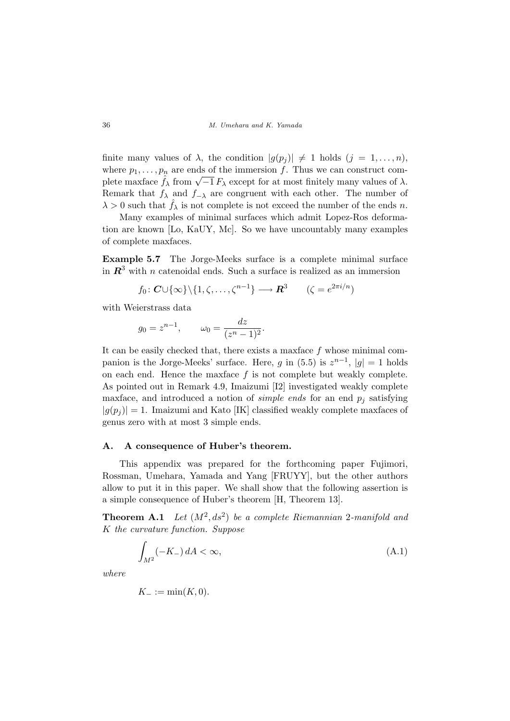finite many values of  $\lambda$ , the condition  $|g(p_i)| \neq 1$  holds  $(j = 1, \ldots, n)$ , where  $p_1, \ldots, p_n$  are ends of the immersion f. Thus we can construct comwhere  $p_1, \ldots, p_n$  are ends of the immersion f. Thus we can construct complete maxface  $\hat{f}_\lambda$  from  $\sqrt{-1} F_\lambda$  except for at most finitely many values of  $\lambda$ . Remark that  $f_{\lambda}$  and  $f_{-\lambda}$  are congruent with each other. The number of  $\lambda > 0$  such that  $\hat{f}_{\lambda}$  is not complete is not exceed the number of the ends n.

Many examples of minimal surfaces which admit Lopez-Ros deformation are known [Lo, KaUY, Mc]. So we have uncountably many examples of complete maxfaces.

Example 5.7 The Jorge-Meeks surface is a complete minimal surface in  $\mathbb{R}^3$  with n catenoidal ends. Such a surface is realized as an immersion

$$
f_0: \mathbf{C} \cup \{\infty\} \setminus \{1, \zeta, \ldots, \zeta^{n-1}\} \longrightarrow \mathbf{R}^3 \qquad (\zeta = e^{2\pi i/n})
$$

with Weierstrass data

$$
g_0 = z^{n-1}
$$
,  $\omega_0 = \frac{dz}{(z^n - 1)^2}$ .

It can be easily checked that, there exists a maxface  $f$  whose minimal companion is the Jorge-Meeks' surface. Here, g in (5.5) is  $z^{n-1}$ ,  $|g|=1$  holds on each end. Hence the maxface  $f$  is not complete but weakly complete. As pointed out in Remark 4.9, Imaizumi [I2] investigated weakly complete maxface, and introduced a notion of *simple ends* for an end  $p_i$  satisfying  $|g(p_i)| = 1$ . Imaizumi and Kato [IK] classified weakly complete maxfaces of genus zero with at most 3 simple ends.

### A. A consequence of Huber's theorem.

This appendix was prepared for the forthcoming paper Fujimori, Rossman, Umehara, Yamada and Yang [FRUYY], but the other authors allow to put it in this paper. We shall show that the following assertion is a simple consequence of Huber's theorem [H, Theorem 13].

**Theorem A.1** Let  $(M^2, ds^2)$  be a complete Riemannian 2-manifold and K the curvature function. Suppose

$$
\int_{M^2} (-K_-) dA < \infty,\tag{A.1}
$$

where

$$
K_{-}:=\min(K,0).
$$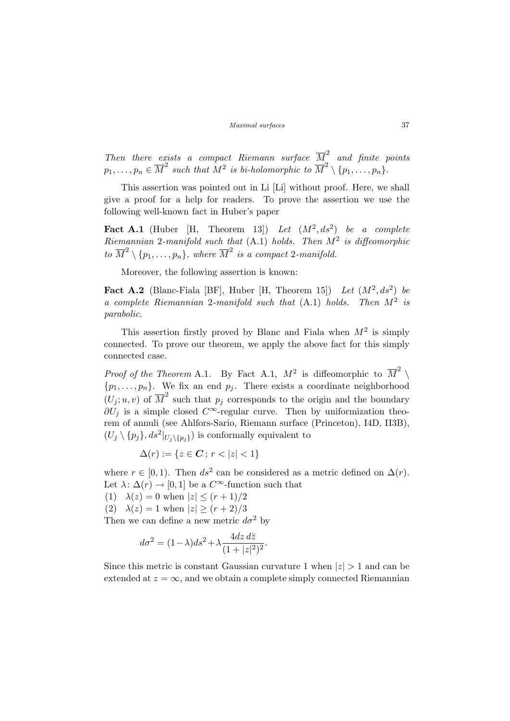Then there exists a compact Riemann surface  $\overline{M}^2$  and finite points  $p_1,\ldots,p_n\in \overline{M}^2$  such that  $\overline{M}^2$  is bi-holomorphic to  $\overline{M}^2\setminus\{p_1,\ldots,p_n\}$ .

This assertion was pointed out in Li [Li] without proof. Here, we shall give a proof for a help for readers. To prove the assertion we use the following well-known fact in Huber's paper

Fact A.1 (Huber [H, Theorem 13]) Let  $(M^2, ds^2)$  be a complete Riemannian 2-manifold such that  $(A.1)$  holds. Then  $M^2$  is diffeomorphic to  $\overline{M}^2 \setminus \{p_1, \ldots, p_n\}$ , where  $\overline{M}^2$  is a compact 2-manifold.

Moreover, the following assertion is known:

Fact A.2 (Blanc-Fiala [BF], Huber [H, Theorem 15]) Let  $(M^2, ds^2)$  be a complete Riemannian 2-manifold such that  $(A.1)$  holds. Then  $M^2$  is parabolic.

This assertion firstly proved by Blanc and Fiala when  $M^2$  is simply connected. To prove our theorem, we apply the above fact for this simply connected case.

*Proof of the Theorem* A.1. By Fact A.1,  $M^2$  is diffeomorphic to  $\overline{M}^2$  $\{p_1, \ldots, p_n\}$ . We fix an end  $p_j$ . There exists a coordinate neighborhood  $(U_j; u, v)$  of  $\overline{M}^2$  such that  $p_j$  corresponds to the origin and the boundary  $\partial U_j$  is a simple closed  $C^{\infty}$ -regular curve. Then by uniformization theorem of annuli (see Ahlfors-Sario, Riemann surface (Princeton), I4D, II3B),  $(U_j \setminus {p_j}, ds^2|_{U_j \setminus {p_j}})$  is conformally equivalent to

$$
\Delta(r) := \{ z \in \mathbf{C} \, ; \, r < |z| < 1 \}
$$

where  $r \in [0, 1)$ . Then  $ds^2$  can be considered as a metric defined on  $\Delta(r)$ . Let  $\lambda: \Delta(r) \to [0, 1]$  be a  $C^{\infty}$ -function such that

(1)  $\lambda(z) = 0$  when  $|z| \le (r+1)/2$ 

(2)  $\lambda(z) = 1$  when  $|z| \ge (r+2)/3$ 

Then we can define a new metric  $d\sigma^2$  by

$$
d\sigma^2 = (1 - \lambda)ds^2 + \lambda \frac{4dz \, d\overline{z}}{(1 + |z|^2)^2}.
$$

Since this metric is constant Gaussian curvature 1 when  $|z| > 1$  and can be extended at  $z = \infty$ , and we obtain a complete simply connected Riemannian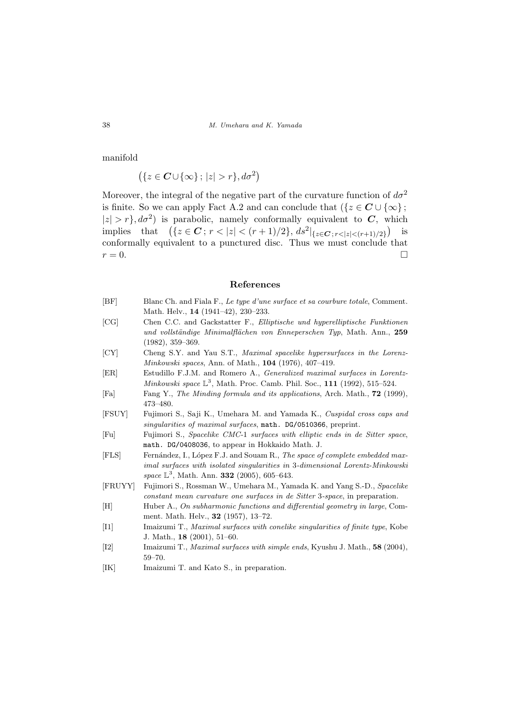manifold

$$
(\{z \in \mathbf{C} \cup \{\infty\};\,|z| > r\}, d\sigma^2)
$$

Moreover, the integral of the negative part of the curvature function of  $d\sigma^2$ is finite. So we can apply Fact A.2 and can conclude that  $({z \in C \cup {\infty}})$ ;  $|z| > r$ ,  $d\sigma^2$  is parabolic, namely conformally equivalent to C, which  $|z| > r_f$ , as can be parabolic, namely comormally equivalent to  $C$ , implies that  $\left(\{z \in \mathbb{C} : r < |z| < (r+1)/2\}, ds^2\right|_{\{z \in \mathbb{C} : r < |z| < (r+1)/2\}}$  $\frac{N}{\lambda}$ is conformally equivalent to a punctured disc. Thus we must conclude that  $r = 0.$ 

### References

- [BF] Blanc Ch. and Fiala F., Le type d'une surface et sa courbure totale, Comment. Math. Helv., 14 (1941–42), 230–233.
- [CG] Chen C.C. and Gackstatter F., Elliptische und hyperelliptische Funktionen und vollständige Minimalflächen von Enneperschen Typ, Math. Ann., 259 (1982), 359–369.
- [CY] Cheng S.Y. and Yau S.T., Maximal spacelike hypersurfaces in the Lorenz-Minkowski spaces, Ann. of Math., 104 (1976), 407–419.
- [ER] Estudillo F.J.M. and Romero A., Generalized maximal surfaces in Lorentz-Minkowski space  $\mathbb{L}^3$ , Math. Proc. Camb. Phil. Soc., 111 (1992), 515-524.
- [Fa] Fang Y., The Minding formula and its applications, Arch. Math., 72 (1999), 473–480.
- [FSUY] Fujimori S., Saji K., Umehara M. and Yamada K., Cuspidal cross caps and singularities of maximal surfaces, math. DG/0510366, preprint.
- [Fu] Fujimori S., Spacelike CMC-1 surfaces with elliptic ends in de Sitter space, math. DG/0408036, to appear in Hokkaido Math. J.
- [FLS] Fernández, I., López F.J. and Souam R., The space of complete embedded maximal surfaces with isolated singularities in 3-dimensional Lorentz-Minkowski space  $\mathbb{L}^3$ , Math. Ann. **332** (2005), 605–643.
- [FRUYY] Fujimori S., Rossman W., Umehara M., Yamada K. and Yang S.-D., Spacelike constant mean curvature one surfaces in de Sitter 3-space, in preparation.
- [H] Huber A., On subharmonic functions and differential geometry in large, Comment. Math. Helv., 32 (1957), 13–72.
- [I1] Imaizumi T., Maximal surfaces with conelike singularities of finite type, Kobe J. Math., 18 (2001), 51–60.
- [I2] Imaizumi T., Maximal surfaces with simple ends, Kyushu J. Math., 58 (2004), 59–70.
- [IK] Imaizumi T. and Kato S., in preparation.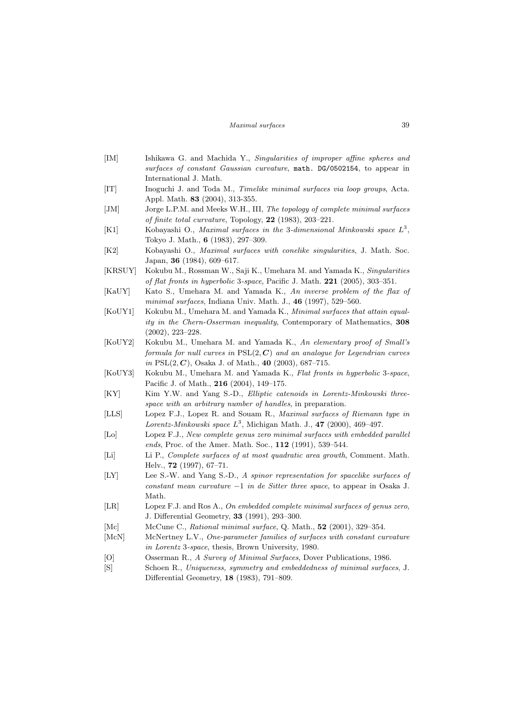- [IM] Ishikawa G. and Machida Y., Singularities of improper affine spheres and surfaces of constant Gaussian curvature, math. DG/0502154, to appear in International J. Math. [IT] Inoguchi J. and Toda M., Timelike minimal surfaces via loop groups, Acta. Appl. Math. 83 (2004), 313-355. [JM] Jorge L.P.M. and Meeks W.H., III, The topology of complete minimal surfaces of finite total curvature, Topology, 22 (1983), 203–221. [K1] Kobayashi O., Maximal surfaces in the 3-dimensional Minkowski space  $L^3$ , Tokyo J. Math., 6 (1983), 297–309. [K2] Kobayashi O., Maximal surfaces with conelike singularities, J. Math. Soc. Japan, 36 (1984), 609–617. [KRSUY] Kokubu M., Rossman W., Saji K., Umehara M. and Yamada K., Singularities of flat fronts in hyperbolic 3-space, Pacific J. Math. 221 (2005), 303–351. [KaUY] Kato S., Umehara M. and Yamada K., An inverse problem of the flax of minimal surfaces, Indiana Univ. Math. J.,  $46$  (1997), 529–560. [KoUY1] Kokubu M., Umehara M. and Yamada K., Minimal surfaces that attain equality in the Chern-Osserman inequality, Contemporary of Mathematics, 308 (2002), 223–228. [KoUY2] Kokubu M., Umehara M. and Yamada K., An elementary proof of Small's formula for null curves in  $PSL(2, \mathbb{C})$  and an analogue for Legendrian curves in PSL $(2, C)$ , Osaka J. of Math., 40  $(2003)$ , 687–715. [KoUY3] Kokubu M., Umehara M. and Yamada K., Flat fronts in hyperbolic 3-space, Pacific J. of Math., 216 (2004), 149–175. [KY] Kim Y.W. and Yang S.-D., *Elliptic catenoids in Lorentz-Minkowski three*space with an arbitrary number of handles, in preparation. [LLS] Lopez F.J., Lopez R. and Souam R., Maximal surfaces of Riemann type in Lorentz-Minkowski space  $L^3$ , Michigan Math. J., 47 (2000), 469-497. [Lo] Lopez F.J., New complete genus zero minimal surfaces with embedded parallel ends, Proc. of the Amer. Math. Soc., 112 (1991), 539-544. [Li] Li P., Complete surfaces of at most quadratic area growth, Comment. Math. Helv., 72 (1997), 67–71. [LY] Lee S.-W. and Yang S.-D., A spinor representation for spacelike surfaces of constant mean curvature −1 in de Sitter three space, to appear in Osaka J. Math. [LR] Lopez F.J. and Ros A., On embedded complete minimal surfaces of genus zero, J. Differential Geometry, 33 (1991), 293–300. [Mc] McCune C., *Rational minimal surface*, Q. Math., **52** (2001), 329–354. [McN] McNertney L.V., One-parameter families of surfaces with constant curvature in Lorentz 3-space, thesis, Brown University, 1980. [O] Osserman R., A Survey of Minimal Surfaces, Dover Publications, 1986.
- [S] Schoen R., Uniqueness, symmetry and embeddedness of minimal surfaces, J. Differential Geometry, 18 (1983), 791–809.